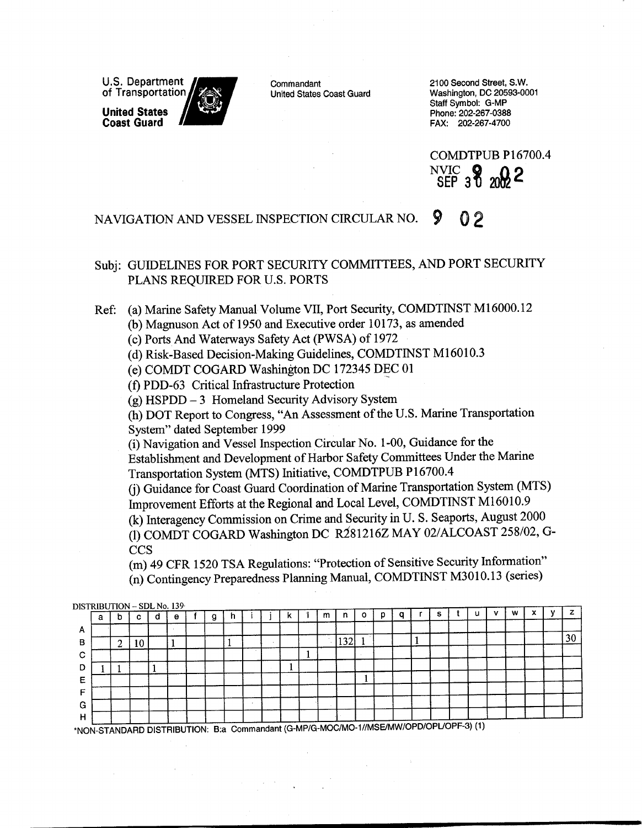U.S. Department of Transportation **United States Coast Guard** 



Commandant **United States Coast Guard**  2100 Second Street, S.W. Washington, DC 20593-0001 Staff Symbol: G-MP Phone: 202-267-0388 FAX: 202-267-4700

COMDTPUB P16700.4 NVIC 9 2022

#### 02 NAVIGATION AND VESSEL INSPECTION CIRCULAR NO. 9

Subj: GUIDELINES FOR PORT SECURITY COMMITTEES, AND PORT SECURITY PLANS REQUIRED FOR U.S. PORTS

- Ref: (a) Marine Safety Manual Volume VII, Port Security, COMDTINST M16000.12 (b) Magnuson Act of 1950 and Executive order 10173, as amended
	- (c) Ports And Waterways Safety Act (PWSA) of 1972
	- (d) Risk-Based Decision-Making Guidelines, COMDTINST M16010.3
	- (e) COMDT COGARD Washington DC 172345 DEC 01
	- (f) PDD-63 Critical Infrastructure Protection
	- $(g)$  HSPDD 3 Homeland Security Advisory System

(h) DOT Report to Congress, "An Assessment of the U.S. Marine Transportation System" dated September 1999

(i) Navigation and Vessel Inspection Circular No. 1-00, Guidance for the Establishment and Development of Harbor Safety Committees Under the Marine Transportation System (MTS) Initiative, COMDTPUB P16700.4

(j) Guidance for Coast Guard Coordination of Marine Transportation System (MTS) Improvement Efforts at the Regional and Local Level, COMDTINST M16010.9 (k) Interagency Commission on Crime and Security in U.S. Seaports, August 2000

(1) COMDT COGARD Washington DC R281216Z MAY 02/ALCOAST 258/02, G-**CCS** 

(m) 49 CFR 1520 TSA Regulations: "Protection of Sensitive Security Information" (n) Contingency Preparedness Planning Manual, COMDTINST M3010.13 (series)

|    |   |     |    |   | DISTRIBUTION - SDL No. 139 |   |   |        |   |    |     |     |   |   |   |   |   |   |   |    |
|----|---|-----|----|---|----------------------------|---|---|--------|---|----|-----|-----|---|---|---|---|---|---|---|----|
|    | a | b   | c  | d | $\mathbf e$                | g |   |        | κ |    | m   | n   | O | D | q | s | ы | w | ^ | ı  |
| А  |   |     |    |   |                            |   |   |        |   |    |     |     |   |   |   |   |   |   |   |    |
| в  |   |     | 10 |   |                            |   |   |        |   |    | . . | 132 |   |   |   |   |   |   |   | 30 |
| C. |   |     |    |   |                            |   | л |        |   |    |     |     |   |   |   |   |   |   |   |    |
|    |   |     |    |   |                            |   |   |        |   | д. |     |     |   |   |   |   |   |   |   |    |
|    |   | . . |    |   |                            |   |   |        |   |    |     |     |   |   |   |   |   |   |   |    |
| F  |   |     |    |   |                            |   |   |        |   |    |     |     |   |   |   |   |   |   |   |    |
| c  |   |     |    |   |                            |   |   |        |   |    |     |     |   |   |   |   |   |   |   |    |
|    |   |     |    |   |                            |   |   | $\sim$ |   |    |     |     |   |   |   |   |   |   |   |    |
| G  |   |     |    |   |                            |   |   |        |   |    |     |     |   |   |   |   |   |   |   |    |
|    |   |     |    |   |                            |   |   |        |   |    |     |     |   |   |   |   |   |   |   |    |

\*NON-STANDARD DISTRIBUTION: B:a Commandant (G-MP/G-MOC/MO-1//MSE/MW/OPD/OPL/OPF-3) (1)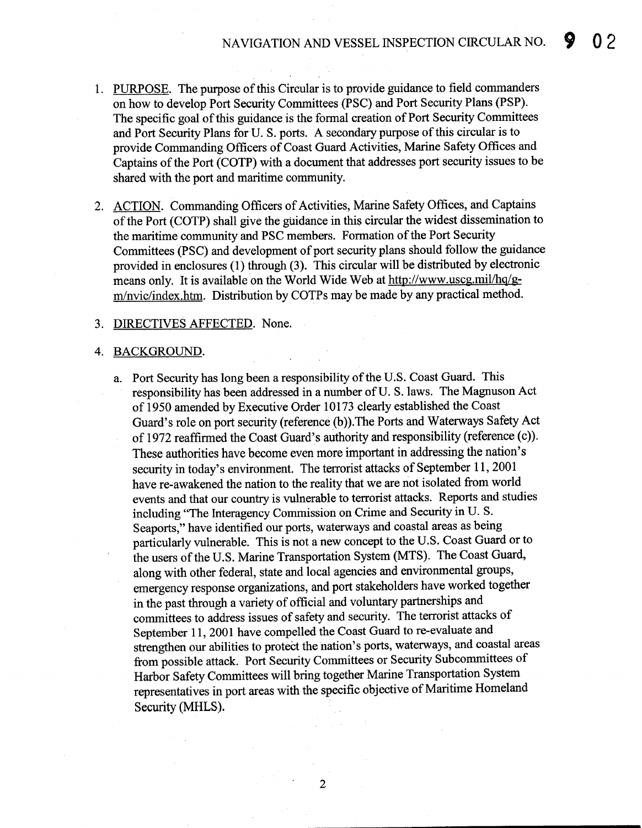- 1. PURPOSE. The purpose of this Circular is to provide guidance to field commanders on how to develop Port Security Committees (PSC) and Port Security Plans (PSP). The specific goal of this guidance is the formal creation of Port Security Committees and Port Security Plans for U.S. ports. A secondary purpose of this circular is to provide Commanding Officers of Coast Guard Activities, Marine Safety Offices and Captains of the Port (COTP) with a document that addresses port security issues to be shared with the port and maritime community.
- 2. ACTION. Commanding Officers of Activities, Marine Safety Offices, and Captains of the Port (COTP) shall give the guidance in this circular the widest dissemination to the maritime community and PSC members. Formation of the Port Security Committees (PSC) and development of port security plans should follow the guidance provided in enclosures (1) through (3). This circular will be distributed by electronic means only. It is available on the World Wide Web at http://www.uscg.mil/hq/gm/nvic/index.htm. Distribution by COTPs may be made by any practical method.

#### 3. DIRECTIVES AFFECTED. None.

#### 4. BACKGROUND.

a. Port Security has long been a responsibility of the U.S. Coast Guard. This responsibility has been addressed in a number of U.S. laws. The Magnuson Act of 1950 amended by Executive Order 10173 clearly established the Coast Guard's role on port security (reference (b)). The Ports and Waterways Safety Act of 1972 reaffirmed the Coast Guard's authority and responsibility (reference (c)). These authorities have become even more important in addressing the nation's security in today's environment. The terrorist attacks of September 11, 2001 have re-awakened the nation to the reality that we are not isolated from world events and that our country is vulnerable to terrorist attacks. Reports and studies including "The Interagency Commission on Crime and Security in U.S. Seaports," have identified our ports, waterways and coastal areas as being particularly vulnerable. This is not a new concept to the U.S. Coast Guard or to the users of the U.S. Marine Transportation System (MTS). The Coast Guard, along with other federal, state and local agencies and environmental groups, emergency response organizations, and port stakeholders have worked together in the past through a variety of official and voluntary partnerships and committees to address issues of safety and security. The terrorist attacks of September 11, 2001 have compelled the Coast Guard to re-evaluate and strengthen our abilities to protect the nation's ports, waterways, and coastal areas from possible attack. Port Security Committees or Security Subcommittees of Harbor Safety Committees will bring together Marine Transportation System representatives in port areas with the specific objective of Maritime Homeland Security (MHLS).

9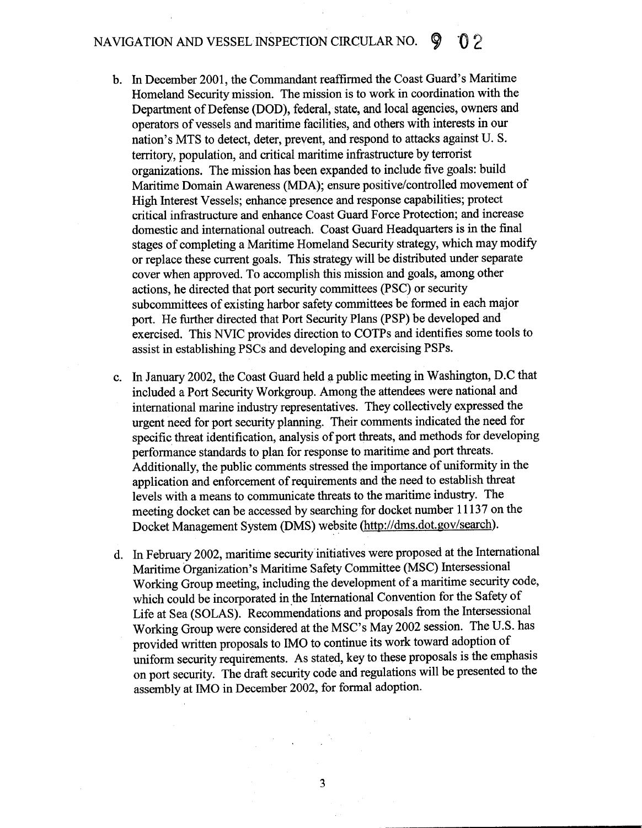#### $0<sup>2</sup>$ NAVIGATION AND VESSEL INSPECTION CIRCULAR NO. 9

- b. In December 2001, the Commandant reaffirmed the Coast Guard's Maritime Homeland Security mission. The mission is to work in coordination with the Department of Defense (DOD), federal, state, and local agencies, owners and operators of vessels and maritime facilities, and others with interests in our nation's MTS to detect, deter, prevent, and respond to attacks against U.S. territory, population, and critical maritime infrastructure by terrorist organizations. The mission has been expanded to include five goals: build Maritime Domain Awareness (MDA); ensure positive/controlled movement of High Interest Vessels; enhance presence and response capabilities; protect critical infrastructure and enhance Coast Guard Force Protection; and increase domestic and international outreach. Coast Guard Headquarters is in the final stages of completing a Maritime Homeland Security strategy, which may modify or replace these current goals. This strategy will be distributed under separate cover when approved. To accomplish this mission and goals, among other actions, he directed that port security committees (PSC) or security subcommittees of existing harbor safety committees be formed in each major port. He further directed that Port Security Plans (PSP) be developed and exercised. This NVIC provides direction to COTPs and identifies some tools to assist in establishing PSCs and developing and exercising PSPs.
- c. In January 2002, the Coast Guard held a public meeting in Washington, D.C that included a Port Security Workgroup. Among the attendees were national and international marine industry representatives. They collectively expressed the urgent need for port security planning. Their comments indicated the need for specific threat identification, analysis of port threats, and methods for developing performance standards to plan for response to maritime and port threats. Additionally, the public comments stressed the importance of uniformity in the application and enforcement of requirements and the need to establish threat levels with a means to communicate threats to the maritime industry. The meeting docket can be accessed by searching for docket number 11137 on the Docket Management System (DMS) website (http://dms.dot.gov/search).
- d. In February 2002, maritime security initiatives were proposed at the International Maritime Organization's Maritime Safety Committee (MSC) Intersessional Working Group meeting, including the development of a maritime security code, which could be incorporated in the International Convention for the Safety of Life at Sea (SOLAS). Recommendations and proposals from the Intersessional Working Group were considered at the MSC's May 2002 session. The U.S. has provided written proposals to IMO to continue its work toward adoption of uniform security requirements. As stated, key to these proposals is the emphasis on port security. The draft security code and regulations will be presented to the assembly at IMO in December 2002, for formal adoption.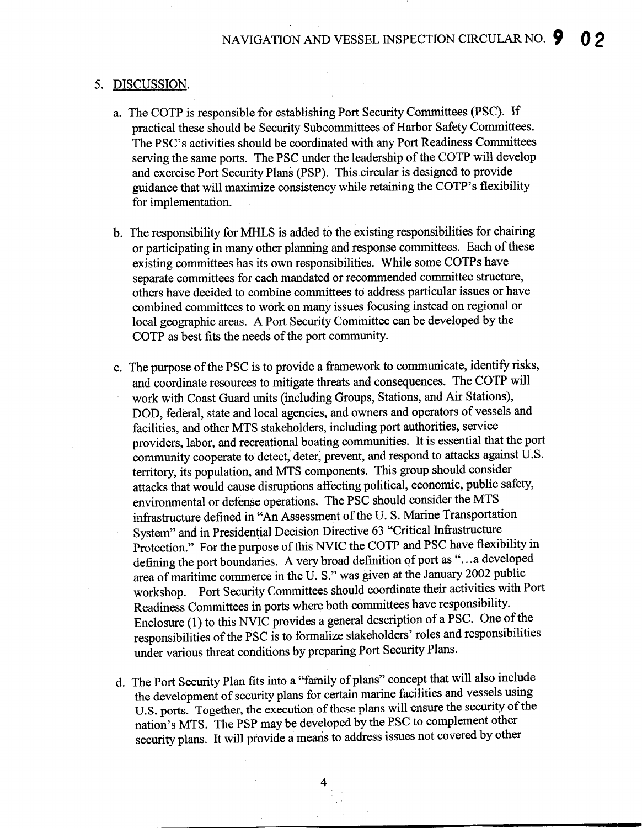#### 5. DISCUSSION.

- a. The COTP is responsible for establishing Port Security Committees (PSC). If practical these should be Security Subcommittees of Harbor Safety Committees. The PSC's activities should be coordinated with any Port Readiness Committees serving the same ports. The PSC under the leadership of the COTP will develop and exercise Port Security Plans (PSP). This circular is designed to provide guidance that will maximize consistency while retaining the COTP's flexibility for implementation.
- b. The responsibility for MHLS is added to the existing responsibilities for chairing or participating in many other planning and response committees. Each of these existing committees has its own responsibilities. While some COTPs have separate committees for each mandated or recommended committee structure, others have decided to combine committees to address particular issues or have combined committees to work on many issues focusing instead on regional or local geographic areas. A Port Security Committee can be developed by the COTP as best fits the needs of the port community.
- c. The purpose of the PSC is to provide a framework to communicate, identify risks, and coordinate resources to mitigate threats and consequences. The COTP will work with Coast Guard units (including Groups, Stations, and Air Stations), DOD, federal, state and local agencies, and owners and operators of vessels and facilities, and other MTS stakeholders, including port authorities, service providers, labor, and recreational boating communities. It is essential that the port community cooperate to detect, deter, prevent, and respond to attacks against U.S. territory, its population, and MTS components. This group should consider attacks that would cause disruptions affecting political, economic, public safety, environmental or defense operations. The PSC should consider the MTS infrastructure defined in "An Assessment of the U.S. Marine Transportation System" and in Presidential Decision Directive 63 "Critical Infrastructure Protection." For the purpose of this NVIC the COTP and PSC have flexibility in defining the port boundaries. A very broad definition of port as "...a developed area of maritime commerce in the U.S." was given at the January 2002 public workshop. Port Security Committees should coordinate their activities with Port Readiness Committees in ports where both committees have responsibility. Enclosure (1) to this NVIC provides a general description of a PSC. One of the responsibilities of the PSC is to formalize stakeholders' roles and responsibilities under various threat conditions by preparing Port Security Plans.
- d. The Port Security Plan fits into a "family of plans" concept that will also include the development of security plans for certain marine facilities and vessels using U.S. ports. Together, the execution of these plans will ensure the security of the nation's MTS. The PSP may be developed by the PSC to complement other security plans. It will provide a means to address issues not covered by other

 $\frac{4}{\pi}$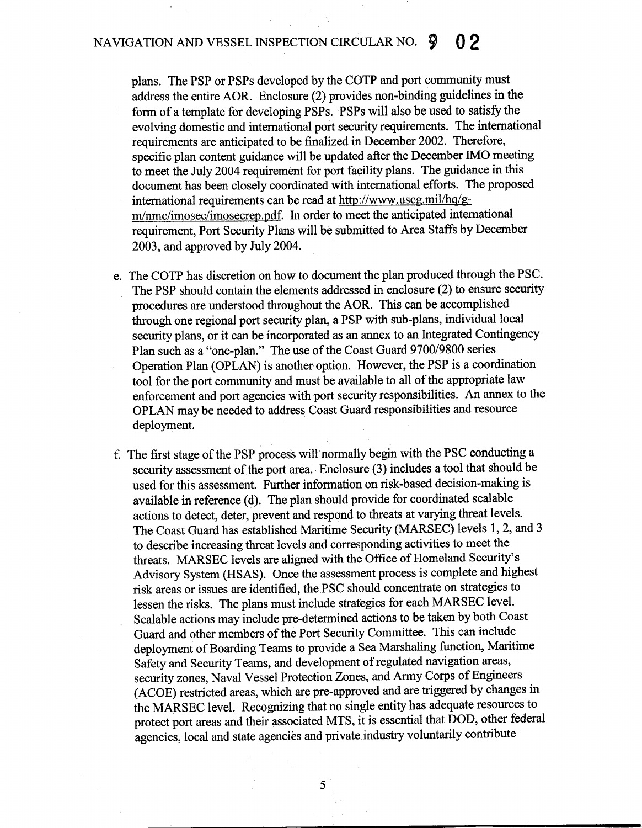plans. The PSP or PSPs developed by the COTP and port community must address the entire AOR. Enclosure (2) provides non-binding guidelines in the form of a template for developing PSPs. PSPs will also be used to satisfy the evolving domestic and international port security requirements. The international requirements are anticipated to be finalized in December 2002. Therefore, specific plan content guidance will be updated after the December IMO meeting to meet the July 2004 requirement for port facility plans. The guidance in this document has been closely coordinated with international efforts. The proposed international requirements can be read at http://www.uscg.mil/hq/gm/nmc/imosec/imosecrep.pdf. In order to meet the anticipated international requirement, Port Security Plans will be submitted to Area Staffs by December 2003, and approved by July 2004.

- e. The COTP has discretion on how to document the plan produced through the PSC. The PSP should contain the elements addressed in enclosure (2) to ensure security procedures are understood throughout the AOR. This can be accomplished through one regional port security plan, a PSP with sub-plans, individual local security plans, or it can be incorporated as an annex to an Integrated Contingency Plan such as a "one-plan." The use of the Coast Guard 9700/9800 series Operation Plan (OPLAN) is another option. However, the PSP is a coordination tool for the port community and must be available to all of the appropriate law enforcement and port agencies with port security responsibilities. An annex to the OPLAN may be needed to address Coast Guard responsibilities and resource deployment.
- f. The first stage of the PSP process will normally begin with the PSC conducting a security assessment of the port area. Enclosure (3) includes a tool that should be used for this assessment. Further information on risk-based decision-making is available in reference (d). The plan should provide for coordinated scalable actions to detect, deter, prevent and respond to threats at varying threat levels. The Coast Guard has established Maritime Security (MARSEC) levels 1, 2, and 3 to describe increasing threat levels and corresponding activities to meet the threats. MARSEC levels are aligned with the Office of Homeland Security's Advisory System (HSAS). Once the assessment process is complete and highest risk areas or issues are identified, the PSC should concentrate on strategies to lessen the risks. The plans must include strategies for each MARSEC level. Scalable actions may include pre-determined actions to be taken by both Coast Guard and other members of the Port Security Committee. This can include deployment of Boarding Teams to provide a Sea Marshaling function, Maritime Safety and Security Teams, and development of regulated navigation areas, security zones, Naval Vessel Protection Zones, and Army Corps of Engineers (ACOE) restricted areas, which are pre-approved and are triggered by changes in the MARSEC level. Recognizing that no single entity has adequate resources to protect port areas and their associated MTS, it is essential that DOD, other federal agencies, local and state agencies and private industry voluntarily contribute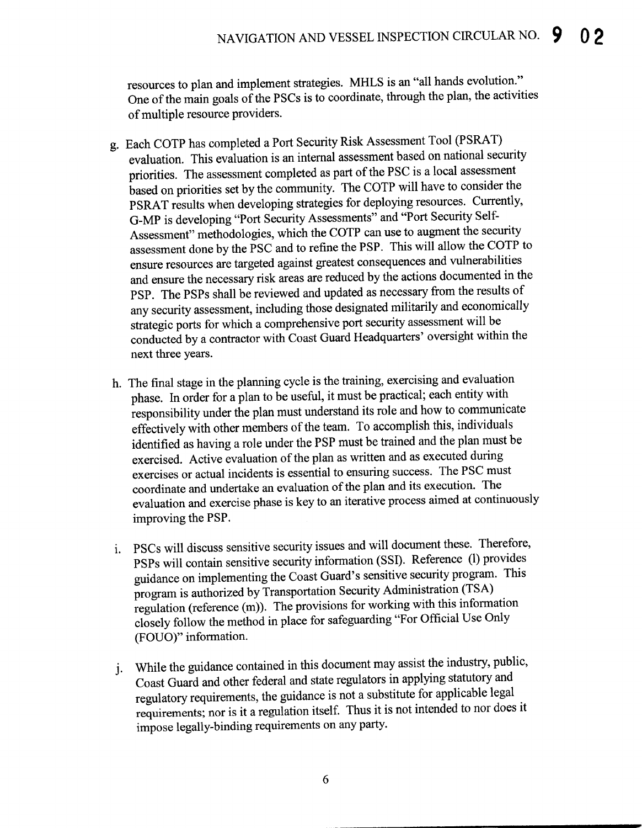resources to plan and implement strategies. MHLS is an "all hands evolution." One of the main goals of the PSCs is to coordinate, through the plan, the activities of multiple resource providers.

- g. Each COTP has completed a Port Security Risk Assessment Tool (PSRAT) evaluation. This evaluation is an internal assessment based on national security priorities. The assessment completed as part of the PSC is a local assessment based on priorities set by the community. The COTP will have to consider the PSRAT results when developing strategies for deploying resources. Currently, G-MP is developing "Port Security Assessments" and "Port Security Self-Assessment" methodologies, which the COTP can use to augment the security assessment done by the PSC and to refine the PSP. This will allow the COTP to ensure resources are targeted against greatest consequences and vulnerabilities and ensure the necessary risk areas are reduced by the actions documented in the PSP. The PSPs shall be reviewed and updated as necessary from the results of any security assessment, including those designated militarily and economically strategic ports for which a comprehensive port security assessment will be conducted by a contractor with Coast Guard Headquarters' oversight within the next three years.
- h. The final stage in the planning cycle is the training, exercising and evaluation phase. In order for a plan to be useful, it must be practical; each entity with responsibility under the plan must understand its role and how to communicate effectively with other members of the team. To accomplish this, individuals identified as having a role under the PSP must be trained and the plan must be exercised. Active evaluation of the plan as written and as executed during exercises or actual incidents is essential to ensuring success. The PSC must coordinate and undertake an evaluation of the plan and its execution. The evaluation and exercise phase is key to an iterative process aimed at continuously improving the PSP.
- PSCs will discuss sensitive security issues and will document these. Therefore, i. PSPs will contain sensitive security information (SSI). Reference (l) provides guidance on implementing the Coast Guard's sensitive security program. This program is authorized by Transportation Security Administration (TSA) regulation (reference (m)). The provisions for working with this information closely follow the method in place for safeguarding "For Official Use Only (FOUO)" information.
- While the guidance contained in this document may assist the industry, public, j. Coast Guard and other federal and state regulators in applying statutory and regulatory requirements, the guidance is not a substitute for applicable legal requirements; nor is it a regulation itself. Thus it is not intended to nor does it impose legally-binding requirements on any party.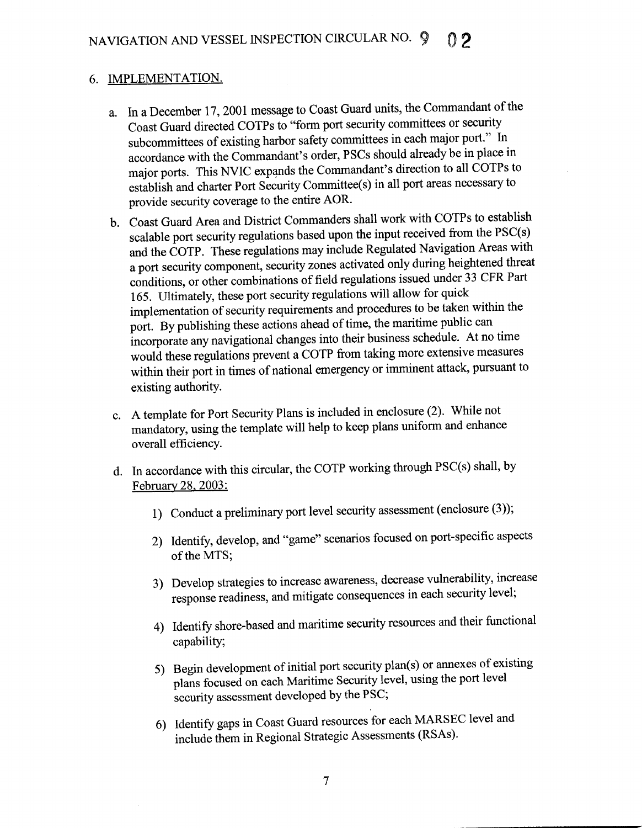#### 6. IMPLEMENTATION.

- a. In a December 17, 2001 message to Coast Guard units, the Commandant of the Coast Guard directed COTPs to "form port security committees or security subcommittees of existing harbor safety committees in each major port." In accordance with the Commandant's order, PSCs should already be in place in major ports. This NVIC expands the Commandant's direction to all COTPs to establish and charter Port Security Committee(s) in all port areas necessary to provide security coverage to the entire AOR.
- b. Coast Guard Area and District Commanders shall work with COTPs to establish scalable port security regulations based upon the input received from the PSC(s) and the COTP. These regulations may include Regulated Navigation Areas with a port security component, security zones activated only during heightened threat conditions, or other combinations of field regulations issued under 33 CFR Part 165. Ultimately, these port security regulations will allow for quick implementation of security requirements and procedures to be taken within the port. By publishing these actions ahead of time, the maritime public can incorporate any navigational changes into their business schedule. At no time would these regulations prevent a COTP from taking more extensive measures within their port in times of national emergency or imminent attack, pursuant to existing authority.
- c. A template for Port Security Plans is included in enclosure (2). While not mandatory, using the template will help to keep plans uniform and enhance overall efficiency.
- d. In accordance with this circular, the COTP working through PSC(s) shall, by February 28, 2003:
	- 1) Conduct a preliminary port level security assessment (enclosure (3));
	- 2) Identify, develop, and "game" scenarios focused on port-specific aspects of the MTS;
	- 3) Develop strategies to increase awareness, decrease vulnerability, increase response readiness, and mitigate consequences in each security level;
	- 4) Identify shore-based and maritime security resources and their functional capability;
	- 5) Begin development of initial port security plan(s) or annexes of existing plans focused on each Maritime Security level, using the port level security assessment developed by the PSC;
	- 6) Identify gaps in Coast Guard resources for each MARSEC level and include them in Regional Strategic Assessments (RSAs).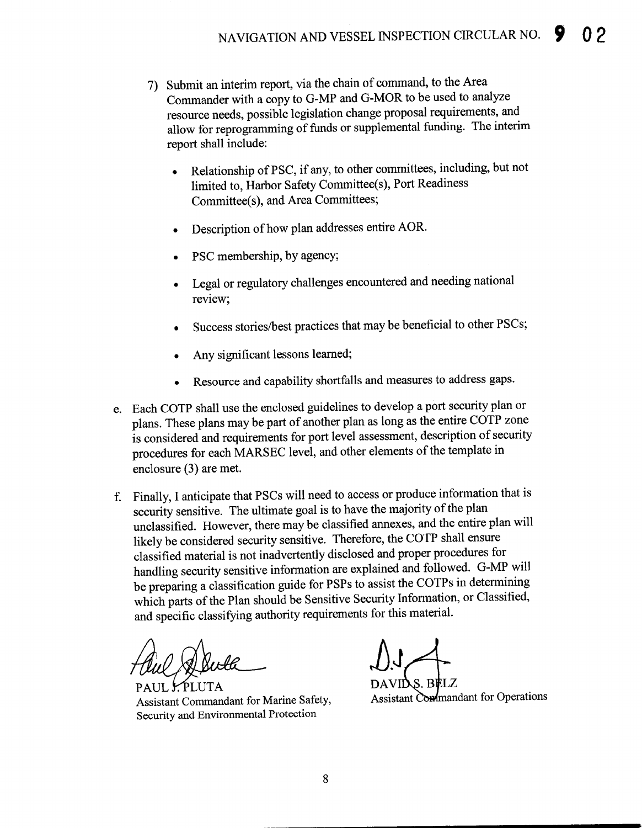- 7) Submit an interim report, via the chain of command, to the Area Commander with a copy to G-MP and G-MOR to be used to analyze resource needs, possible legislation change proposal requirements, and allow for reprogramming of funds or supplemental funding. The interim report shall include:
	- Relationship of PSC, if any, to other committees, including, but not limited to, Harbor Safety Committee(s), Port Readiness Committee(s), and Area Committees;
	- Description of how plan addresses entire AOR.
	- PSC membership, by agency;
	- Legal or regulatory challenges encountered and needing national review:
	- Success stories/best practices that may be beneficial to other PSCs;
	- Any significant lessons learned;
	- Resource and capability shortfalls and measures to address gaps.  $\bullet$
- e. Each COTP shall use the enclosed guidelines to develop a port security plan or plans. These plans may be part of another plan as long as the entire COTP zone is considered and requirements for port level assessment, description of security procedures for each MARSEC level, and other elements of the template in enclosure (3) are met.
- f. Finally, I anticipate that PSCs will need to access or produce information that is security sensitive. The ultimate goal is to have the majority of the plan unclassified. However, there may be classified annexes, and the entire plan will likely be considered security sensitive. Therefore, the COTP shall ensure classified material is not inadvertently disclosed and proper procedures for handling security sensitive information are explained and followed. G-MP will be preparing a classification guide for PSPs to assist the COTPs in determining which parts of the Plan should be Sensitive Security Information, or Classified, and specific classifying authority requirements for this material.

Assistant Commandant for Marine Safety, Security and Environmental Protection

S. BEI AVID

**Assistant Commandant for Operations**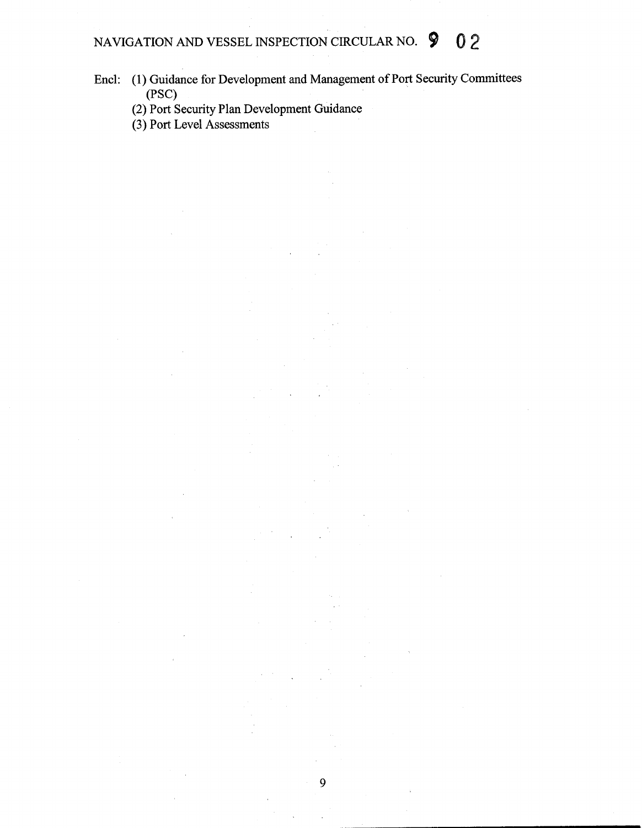#### NAVIGATION AND VESSEL INSPECTION CIRCULAR NO.  $\bigcirc$  $0<sub>2</sub>$

- Encl: (1) Guidance for Development and Management of Port Security Committees  $(PSC)$ 
	- (2) Port Security Plan Development Guidance
	- (3) Port Level Assessments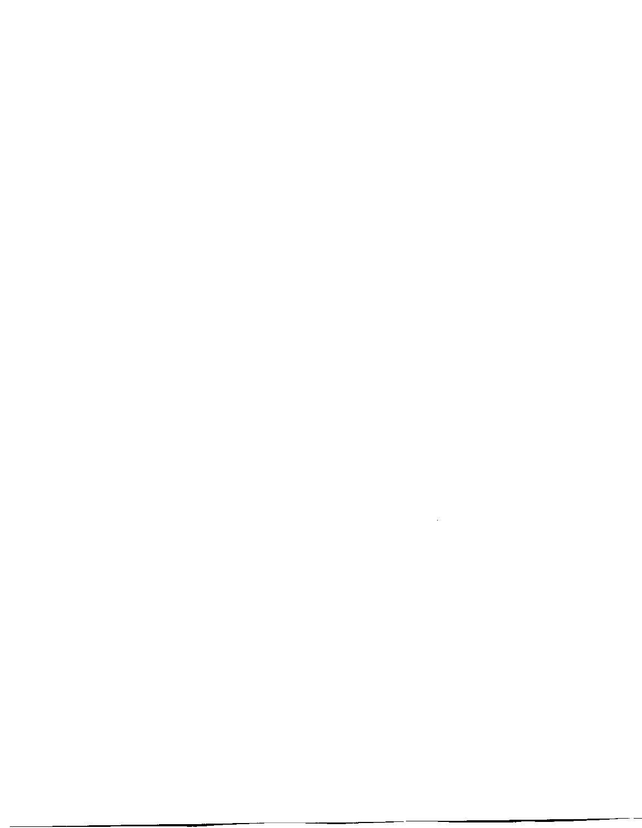$\label{eq:2.1} \frac{1}{\sqrt{2}}\int_{\mathbb{R}^3}\frac{1}{\sqrt{2}}\left(\frac{1}{\sqrt{2}}\right)^2\frac{1}{\sqrt{2}}\left(\frac{1}{\sqrt{2}}\right)^2\frac{1}{\sqrt{2}}\left(\frac{1}{\sqrt{2}}\right)^2.$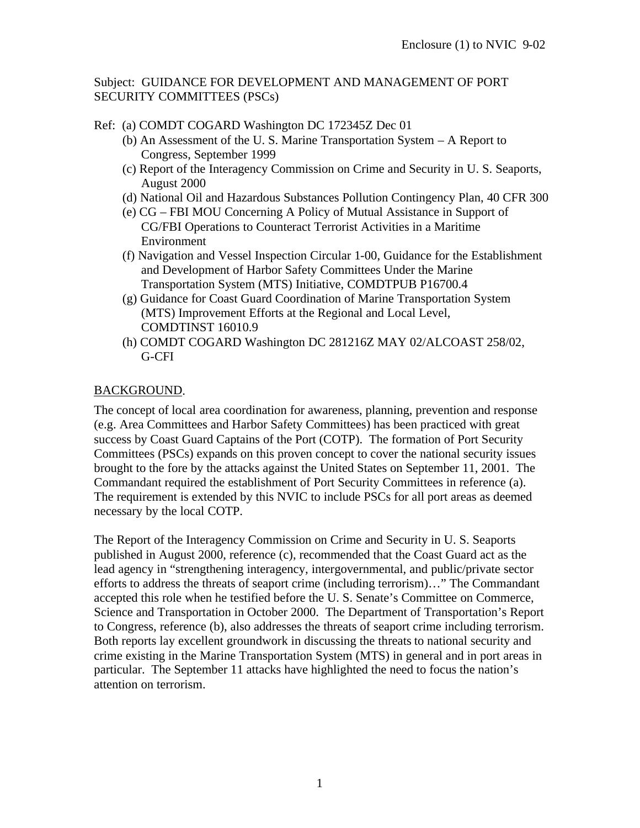# Subject: GUIDANCE FOR DEVELOPMENT AND MANAGEMENT OF PORT SECURITY COMMITTEES (PSCs)

# Ref: (a) COMDT COGARD Washington DC 172345Z Dec 01

- (b) An Assessment of the U. S. Marine Transportation System A Report to Congress, September 1999
- (c) Report of the Interagency Commission on Crime and Security in U. S. Seaports, August 2000
- (d) National Oil and Hazardous Substances Pollution Contingency Plan, 40 CFR 300
- (e) CG FBI MOU Concerning A Policy of Mutual Assistance in Support of CG/FBI Operations to Counteract Terrorist Activities in a Maritime Environment
- (f) Navigation and Vessel Inspection Circular 1-00, Guidance for the Establishment and Development of Harbor Safety Committees Under the Marine Transportation System (MTS) Initiative, COMDTPUB P16700.4
- (g) Guidance for Coast Guard Coordination of Marine Transportation System (MTS) Improvement Efforts at the Regional and Local Level, COMDTINST 16010.9
- (h) COMDT COGARD Washington DC 281216Z MAY 02/ALCOAST 258/02, G-CFI

# BACKGROUND.

The concept of local area coordination for awareness, planning, prevention and response (e.g. Area Committees and Harbor Safety Committees) has been practiced with great success by Coast Guard Captains of the Port (COTP). The formation of Port Security Committees (PSCs) expands on this proven concept to cover the national security issues brought to the fore by the attacks against the United States on September 11, 2001. The Commandant required the establishment of Port Security Committees in reference (a). The requirement is extended by this NVIC to include PSCs for all port areas as deemed necessary by the local COTP.

The Report of the Interagency Commission on Crime and Security in U. S. Seaports published in August 2000, reference (c), recommended that the Coast Guard act as the lead agency in "strengthening interagency, intergovernmental, and public/private sector efforts to address the threats of seaport crime (including terrorism)…" The Commandant accepted this role when he testified before the U. S. Senate's Committee on Commerce, Science and Transportation in October 2000. The Department of Transportation's Report to Congress, reference (b), also addresses the threats of seaport crime including terrorism. Both reports lay excellent groundwork in discussing the threats to national security and crime existing in the Marine Transportation System (MTS) in general and in port areas in particular. The September 11 attacks have highlighted the need to focus the nation's attention on terrorism.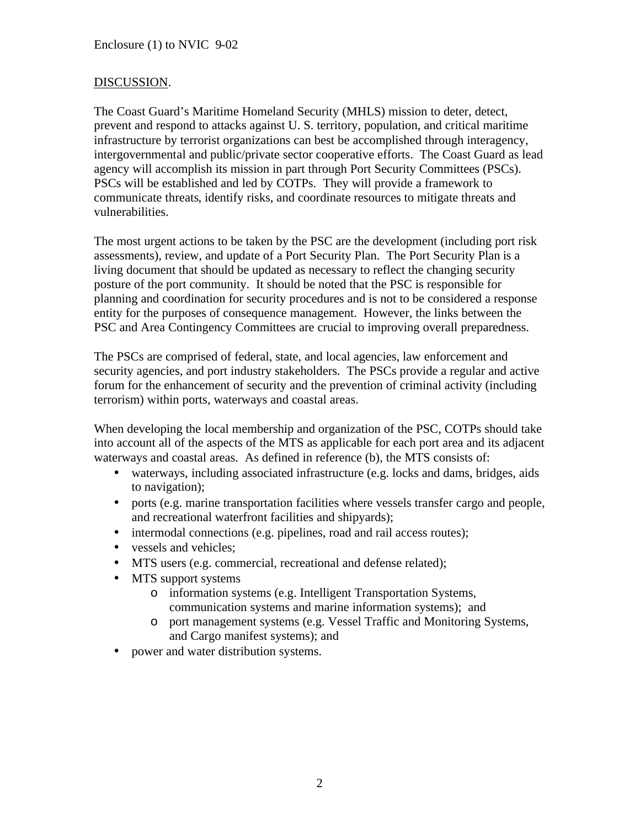# DISCUSSION.

The Coast Guard's Maritime Homeland Security (MHLS) mission to deter, detect, prevent and respond to attacks against U. S. territory, population, and critical maritime infrastructure by terrorist organizations can best be accomplished through interagency, intergovernmental and public/private sector cooperative efforts. The Coast Guard as lead agency will accomplish its mission in part through Port Security Committees (PSCs). PSCs will be established and led by COTPs. They will provide a framework to communicate threats, identify risks, and coordinate resources to mitigate threats and vulnerabilities.

The most urgent actions to be taken by the PSC are the development (including port risk assessments), review, and update of a Port Security Plan. The Port Security Plan is a living document that should be updated as necessary to reflect the changing security posture of the port community. It should be noted that the PSC is responsible for planning and coordination for security procedures and is not to be considered a response entity for the purposes of consequence management. However, the links between the PSC and Area Contingency Committees are crucial to improving overall preparedness.

The PSCs are comprised of federal, state, and local agencies, law enforcement and security agencies, and port industry stakeholders. The PSCs provide a regular and active forum for the enhancement of security and the prevention of criminal activity (including terrorism) within ports, waterways and coastal areas.

When developing the local membership and organization of the PSC, COTPs should take into account all of the aspects of the MTS as applicable for each port area and its adjacent waterways and coastal areas. As defined in reference (b), the MTS consists of:

- waterways, including associated infrastructure (e.g. locks and dams, bridges, aids to navigation);
- ports (e.g. marine transportation facilities where vessels transfer cargo and people, and recreational waterfront facilities and shipyards);
- intermodal connections (e.g. pipelines, road and rail access routes);
- vessels and vehicles;
- MTS users (e.g. commercial, recreational and defense related);
- MTS support systems
	- o information systems (e.g. Intelligent Transportation Systems, communication systems and marine information systems); and
	- o port management systems (e.g. Vessel Traffic and Monitoring Systems, and Cargo manifest systems); and
- power and water distribution systems.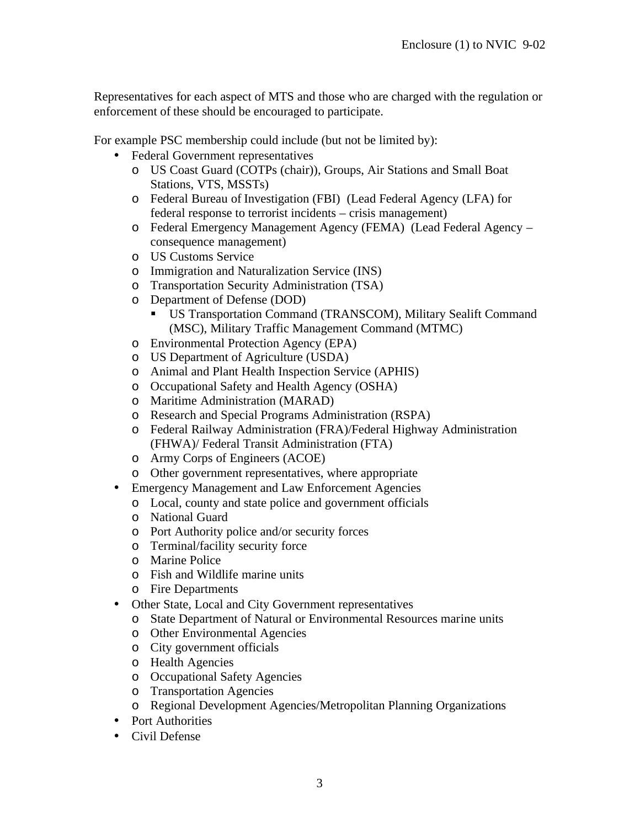Representatives for each aspect of MTS and those who are charged with the regulation or enforcement of these should be encouraged to participate.

For example PSC membership could include (but not be limited by):

- Federal Government representatives
	- o US Coast Guard (COTPs (chair)), Groups, Air Stations and Small Boat Stations, VTS, MSSTs)
	- o Federal Bureau of Investigation (FBI) (Lead Federal Agency (LFA) for federal response to terrorist incidents – crisis management)
	- o Federal Emergency Management Agency (FEMA) (Lead Federal Agency consequence management)
	- o US Customs Service
	- o Immigration and Naturalization Service (INS)
	- o Transportation Security Administration (TSA)
	- o Department of Defense (DOD)
		- ß US Transportation Command (TRANSCOM), Military Sealift Command (MSC), Military Traffic Management Command (MTMC)
	- o Environmental Protection Agency (EPA)
	- o US Department of Agriculture (USDA)
	- o Animal and Plant Health Inspection Service (APHIS)
	- o Occupational Safety and Health Agency (OSHA)
	- o Maritime Administration (MARAD)
	- o Research and Special Programs Administration (RSPA)
	- o Federal Railway Administration (FRA)/Federal Highway Administration (FHWA)/ Federal Transit Administration (FTA)
	- o Army Corps of Engineers (ACOE)
	- o Other government representatives, where appropriate
- Emergency Management and Law Enforcement Agencies
	- o Local, county and state police and government officials
	- o National Guard
	- o Port Authority police and/or security forces
	- o Terminal/facility security force
	- o Marine Police
	- o Fish and Wildlife marine units
	- o Fire Departments
- Other State, Local and City Government representatives
	- o State Department of Natural or Environmental Resources marine units
	- o Other Environmental Agencies
	- o City government officials
	- o Health Agencies
	- o Occupational Safety Agencies
	- o Transportation Agencies
	- o Regional Development Agencies/Metropolitan Planning Organizations
- Port Authorities
- Civil Defense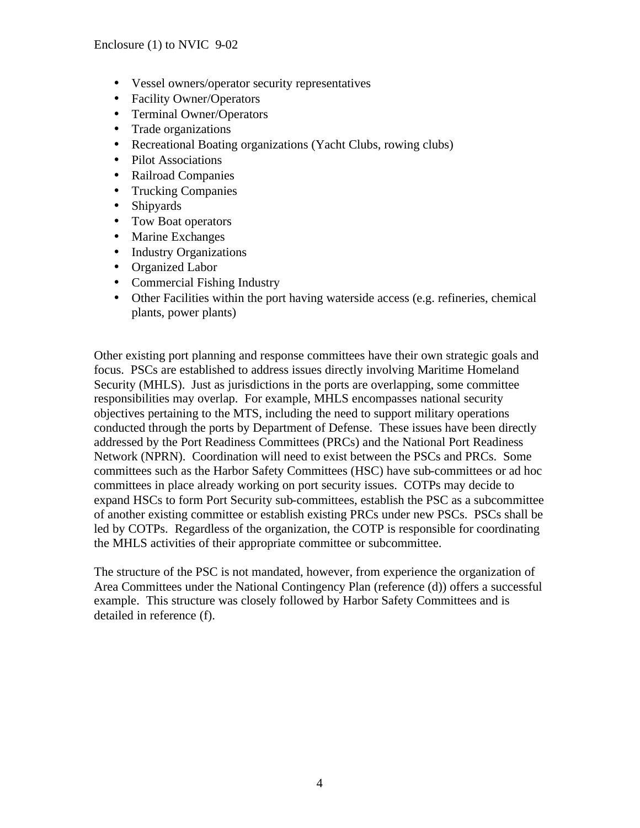- Vessel owners/operator security representatives
- Facility Owner/Operators
- Terminal Owner/Operators
- Trade organizations
- Recreational Boating organizations (Yacht Clubs, rowing clubs)
- Pilot Associations
- Railroad Companies
- Trucking Companies
- Shipyards
- Tow Boat operators
- Marine Exchanges
- Industry Organizations
- Organized Labor
- Commercial Fishing Industry
- Other Facilities within the port having waterside access (e.g. refineries, chemical plants, power plants)

Other existing port planning and response committees have their own strategic goals and focus. PSCs are established to address issues directly involving Maritime Homeland Security (MHLS). Just as jurisdictions in the ports are overlapping, some committee responsibilities may overlap. For example, MHLS encompasses national security objectives pertaining to the MTS, including the need to support military operations conducted through the ports by Department of Defense. These issues have been directly addressed by the Port Readiness Committees (PRCs) and the National Port Readiness Network (NPRN). Coordination will need to exist between the PSCs and PRCs. Some committees such as the Harbor Safety Committees (HSC) have sub-committees or ad hoc committees in place already working on port security issues. COTPs may decide to expand HSCs to form Port Security sub-committees, establish the PSC as a subcommittee of another existing committee or establish existing PRCs under new PSCs. PSCs shall be led by COTPs. Regardless of the organization, the COTP is responsible for coordinating the MHLS activities of their appropriate committee or subcommittee.

The structure of the PSC is not mandated, however, from experience the organization of Area Committees under the National Contingency Plan (reference (d)) offers a successful example. This structure was closely followed by Harbor Safety Committees and is detailed in reference (f).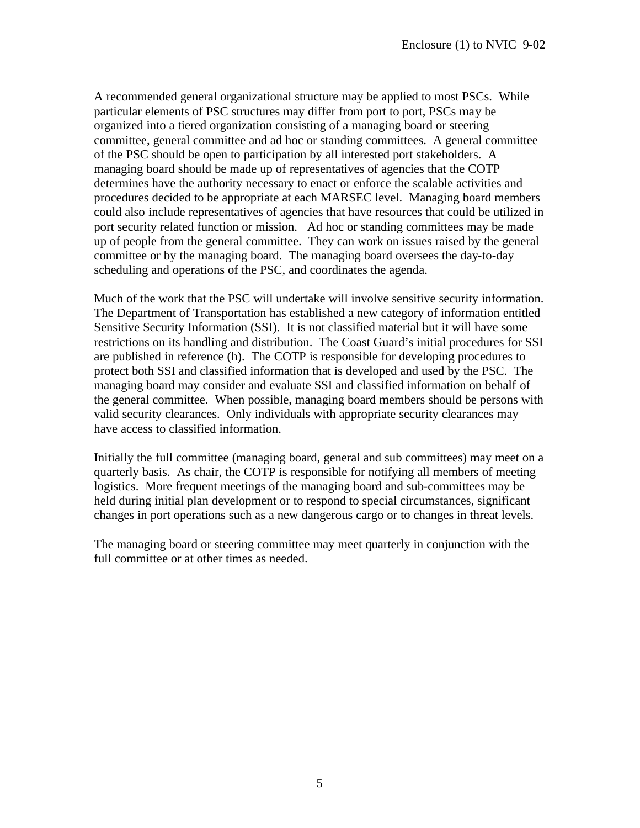A recommended general organizational structure may be applied to most PSCs. While particular elements of PSC structures may differ from port to port, PSCs may be organized into a tiered organization consisting of a managing board or steering committee, general committee and ad hoc or standing committees. A general committee of the PSC should be open to participation by all interested port stakeholders. A managing board should be made up of representatives of agencies that the COTP determines have the authority necessary to enact or enforce the scalable activities and procedures decided to be appropriate at each MARSEC level. Managing board members could also include representatives of agencies that have resources that could be utilized in port security related function or mission. Ad hoc or standing committees may be made up of people from the general committee. They can work on issues raised by the general committee or by the managing board. The managing board oversees the day-to-day scheduling and operations of the PSC, and coordinates the agenda.

Much of the work that the PSC will undertake will involve sensitive security information. The Department of Transportation has established a new category of information entitled Sensitive Security Information (SSI). It is not classified material but it will have some restrictions on its handling and distribution. The Coast Guard's initial procedures for SSI are published in reference (h). The COTP is responsible for developing procedures to protect both SSI and classified information that is developed and used by the PSC. The managing board may consider and evaluate SSI and classified information on behalf of the general committee. When possible, managing board members should be persons with valid security clearances. Only individuals with appropriate security clearances may have access to classified information.

Initially the full committee (managing board, general and sub committees) may meet on a quarterly basis. As chair, the COTP is responsible for notifying all members of meeting logistics. More frequent meetings of the managing board and sub-committees may be held during initial plan development or to respond to special circumstances, significant changes in port operations such as a new dangerous cargo or to changes in threat levels.

The managing board or steering committee may meet quarterly in conjunction with the full committee or at other times as needed.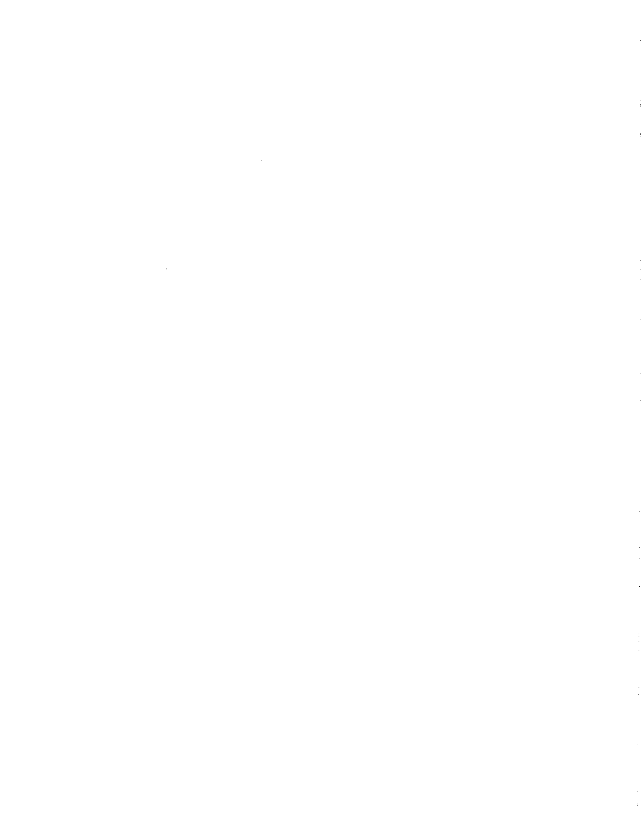$\label{eq:2.1} \frac{1}{\sqrt{2}}\int_{\mathbb{R}^3}\frac{1}{\sqrt{2}}\left(\frac{1}{\sqrt{2}}\int_{\mathbb{R}^3}\frac{1}{\sqrt{2}}\left(\frac{1}{\sqrt{2}}\int_{\mathbb{R}^3}\frac{1}{\sqrt{2}}\right)\frac{1}{\sqrt{2}}\right)\frac{1}{\sqrt{2}}\,d\mu$  $\mathcal{L}^{\text{max}}_{\text{max}}$  and  $\mathcal{L}^{\text{max}}_{\text{max}}$  $\ddot{\phantom{0}}$  $\frac{1}{2}$ J.  $\begin{array}{c}\n1 \\
1 \\
2\n\end{array}$  $\frac{1}{2}$  $\frac{1}{2}$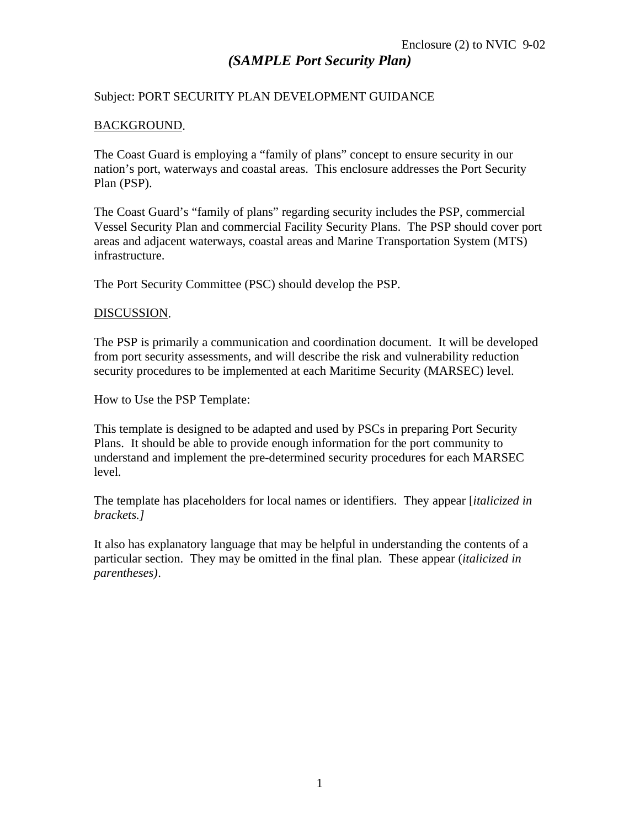#### Subject: PORT SECURITY PLAN DEVELOPMENT GUIDANCE

#### BACKGROUND.

The Coast Guard is employing a "family of plans" concept to ensure security in our nation's port, waterways and coastal areas. This enclosure addresses the Port Security Plan (PSP).

The Coast Guard's "family of plans" regarding security includes the PSP, commercial Vessel Security Plan and commercial Facility Security Plans. The PSP should cover port areas and adjacent waterways, coastal areas and Marine Transportation System (MTS) infrastructure.

The Port Security Committee (PSC) should develop the PSP.

#### DISCUSSION.

The PSP is primarily a communication and coordination document. It will be developed from port security assessments, and will describe the risk and vulnerability reduction security procedures to be implemented at each Maritime Security (MARSEC) level.

How to Use the PSP Template:

This template is designed to be adapted and used by PSCs in preparing Port Security Plans. It should be able to provide enough information for the port community to understand and implement the pre-determined security procedures for each MARSEC level.

The template has placeholders for local names or identifiers. They appear [*italicized in brackets.]*

It also has explanatory language that may be helpful in understanding the contents of a particular section. They may be omitted in the final plan. These appear (*italicized in parentheses)*.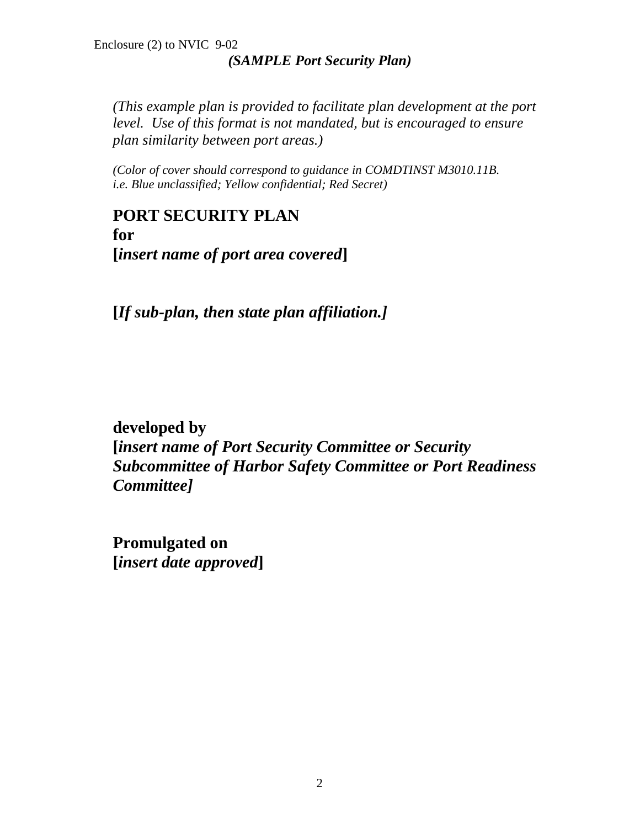Enclosure (2) to NVIC 9-02

# *(SAMPLE Port Security Plan)*

*(This example plan is provided to facilitate plan development at the port level. Use of this format is not mandated, but is encouraged to ensure plan similarity between port areas.)* 

*(Color of cover should correspond to guidance in COMDTINST M3010.11B. i.e. Blue unclassified; Yellow confidential; Red Secret)*

**PORT SECURITY PLAN for [***insert name of port area covered***]**

**[***If sub-plan, then state plan affiliation.]*

**developed by [***insert name of Port Security Committee or Security Subcommittee of Harbor Safety Committee or Port Readiness Committee]*

**Promulgated on [***insert date approved***]**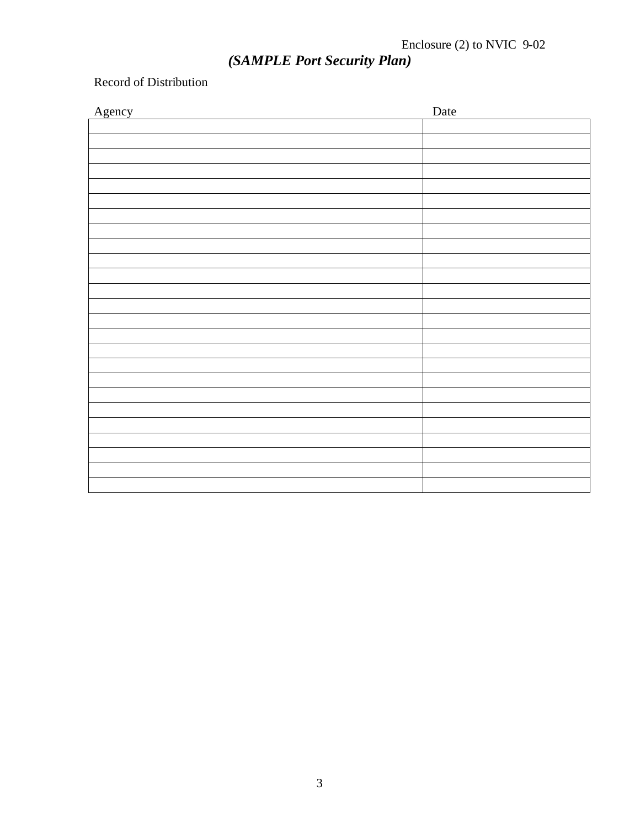# Record of Distribution

| Agency | Date |
|--------|------|
|        |      |
|        |      |
|        |      |
|        |      |
|        |      |
|        |      |
|        |      |
|        |      |
|        |      |
|        |      |
|        |      |
|        |      |
|        |      |
|        |      |
|        |      |
|        |      |
|        |      |
|        |      |
|        |      |
|        |      |
|        |      |
|        |      |
|        |      |
|        |      |
|        |      |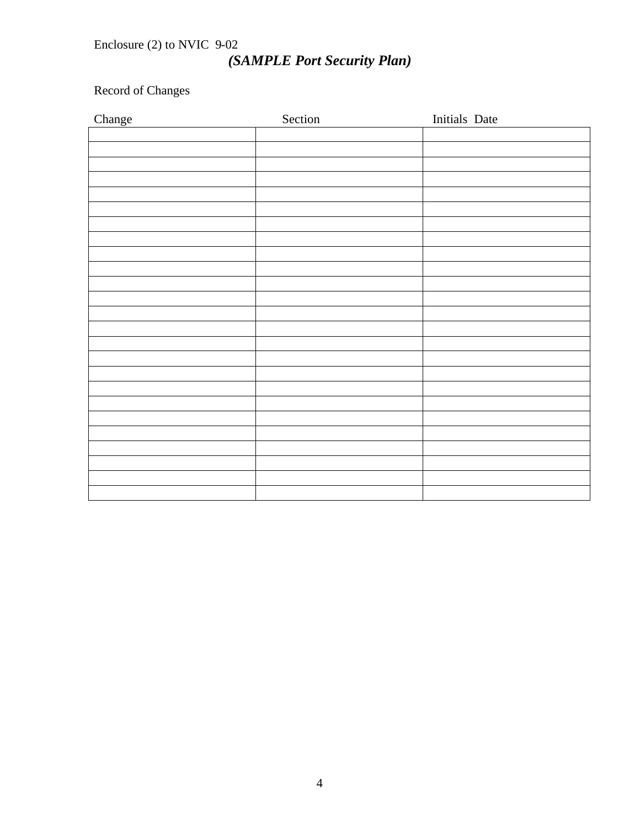# Enclosure (2) to NVIC 9-02

# *(SAMPLE Port Security Plan)*

# Record of Changes

| Change | Section | Initials Date |
|--------|---------|---------------|
|        |         |               |
|        |         |               |
|        |         |               |
|        |         |               |
|        |         |               |
|        |         |               |
|        |         |               |
|        |         |               |
|        |         |               |
|        |         |               |
|        |         |               |
|        |         |               |
|        |         |               |
|        |         |               |
|        |         |               |
|        |         |               |
|        |         |               |
|        |         |               |
|        |         |               |
|        |         |               |
|        |         |               |
|        |         |               |
|        |         |               |
|        |         |               |
|        |         |               |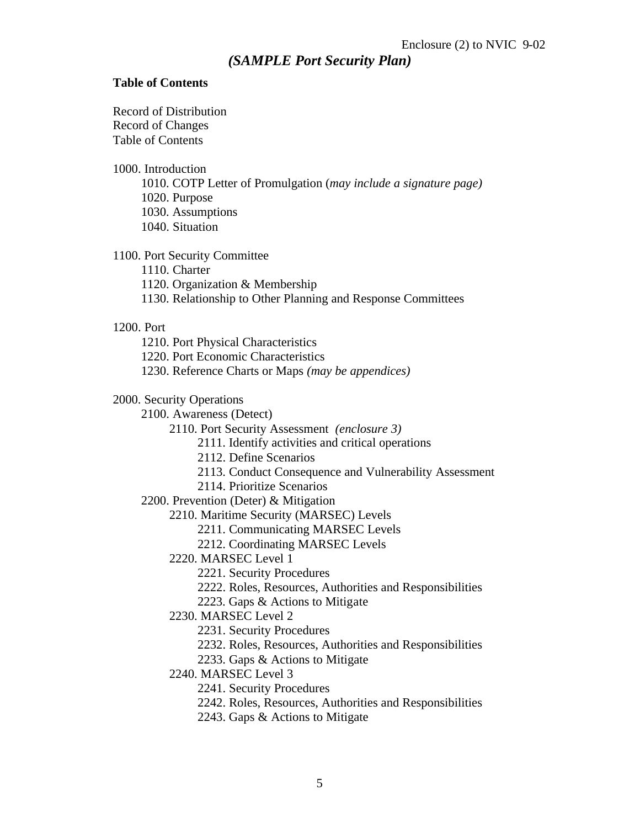#### **Table of Contents**

Record of Distribution Record of Changes Table of Contents

1000. Introduction

1010. COTP Letter of Promulgation (*may include a signature page)*

1020. Purpose

1030. Assumptions

1040. Situation

1100. Port Security Committee

1110. Charter

1120. Organization & Membership

1130. Relationship to Other Planning and Response Committees

#### 1200. Port

1210. Port Physical Characteristics

1220. Port Economic Characteristics

1230. Reference Charts or Maps *(may be appendices)*

2000. Security Operations

2100. Awareness (Detect)

2110. Port Security Assessment *(enclosure 3)*

2111. Identify activities and critical operations

2112. Define Scenarios

2113. Conduct Consequence and Vulnerability Assessment

2114. Prioritize Scenarios

2200. Prevention (Deter) & Mitigation

2210. Maritime Security (MARSEC) Levels

2211. Communicating MARSEC Levels

2212. Coordinating MARSEC Levels

2220. MARSEC Level 1

2221. Security Procedures

2222. Roles, Resources, Authorities and Responsibilities

2223. Gaps & Actions to Mitigate

2230. MARSEC Level 2

2231. Security Procedures

2232. Roles, Resources, Authorities and Responsibilities

2233. Gaps & Actions to Mitigate

2240. MARSEC Level 3

2241. Security Procedures

2242. Roles, Resources, Authorities and Responsibilities

2243. Gaps & Actions to Mitigate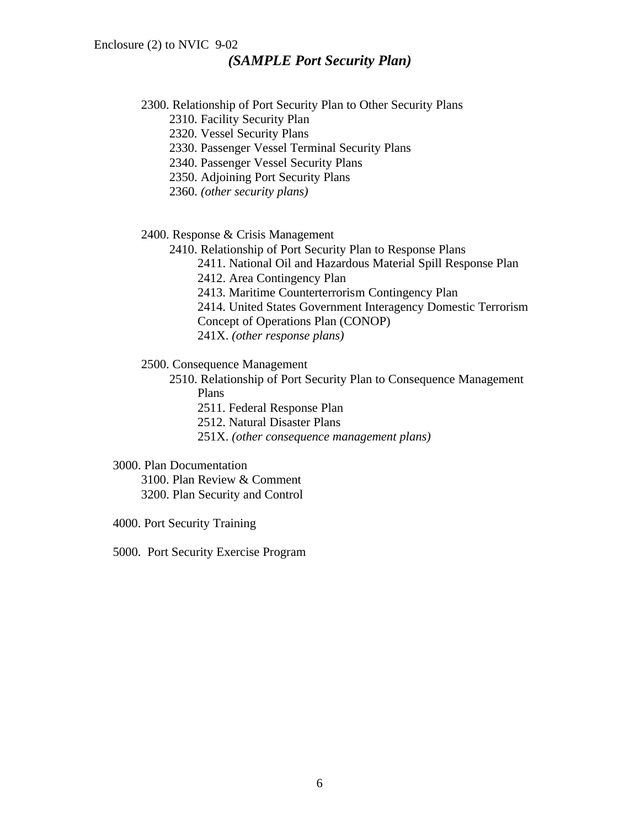- 2300. Relationship of Port Security Plan to Other Security Plans
	- 2310. Facility Security Plan
	- 2320. Vessel Security Plans
	- 2330. Passenger Vessel Terminal Security Plans
	- 2340. Passenger Vessel Security Plans
	- 2350. Adjoining Port Security Plans
	- 2360. *(other security plans)*
- 2400. Response & Crisis Management
	- 2410. Relationship of Port Security Plan to Response Plans
		- 2411. National Oil and Hazardous Material Spill Response Plan
		- 2412. Area Contingency Plan
		- 2413. Maritime Counterterrorism Contingency Plan
		- 2414. United States Government Interagency Domestic Terrorism
		- Concept of Operations Plan (CONOP)
		- 241X. *(other response plans)*
- 2500. Consequence Management
	- 2510. Relationship of Port Security Plan to Consequence Management Plans
		- 2511. Federal Response Plan
		- 2512. Natural Disaster Plans
		- 251X. *(other consequence management plans)*
- 3000. Plan Documentation
	- 3100. Plan Review & Comment 3200. Plan Security and Control
- 4000. Port Security Training
- 5000. Port Security Exercise Program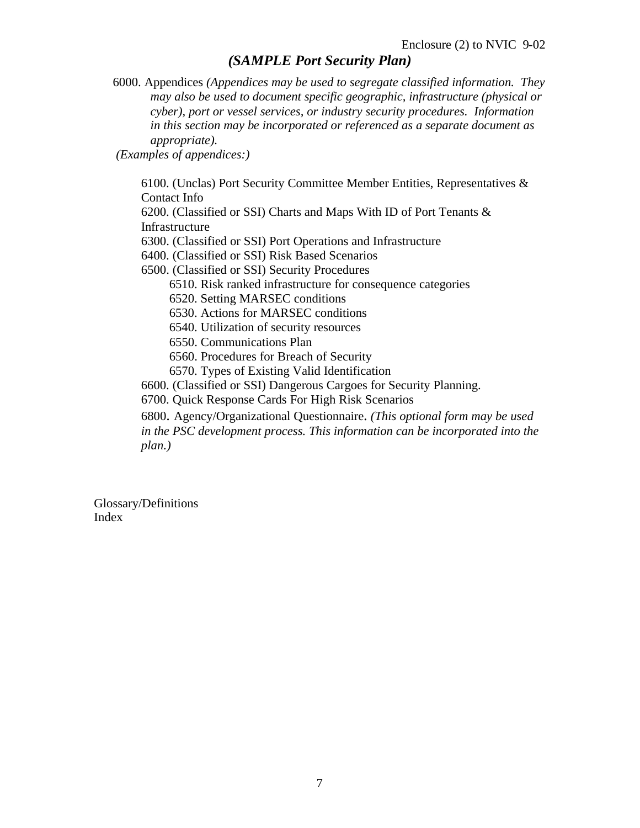6000. Appendices *(Appendices may be used to segregate classified information. They may also be used to document specific geographic, infrastructure (physical or cyber), port or vessel services, or industry security procedures. Information in this section may be incorporated or referenced as a separate document as appropriate).*

 *(Examples of appendices:)*

6100. (Unclas) Port Security Committee Member Entities, Representatives & Contact Info

6200. (Classified or SSI) Charts and Maps With ID of Port Tenants & Infrastructure

6300. (Classified or SSI) Port Operations and Infrastructure

6400. (Classified or SSI) Risk Based Scenarios

6500. (Classified or SSI) Security Procedures

6510. Risk ranked infrastructure for consequence categories

6520. Setting MARSEC conditions

6530. Actions for MARSEC conditions

6540. Utilization of security resources

6550. Communications Plan

6560. Procedures for Breach of Security

6570. Types of Existing Valid Identification

6600. (Classified or SSI) Dangerous Cargoes for Security Planning.

6700. Quick Response Cards For High Risk Scenarios

6800. Agency/Organizational Questionnaire. *(This optional form may be used in the PSC development process. This information can be incorporated into the plan.)*

Glossary/Definitions Index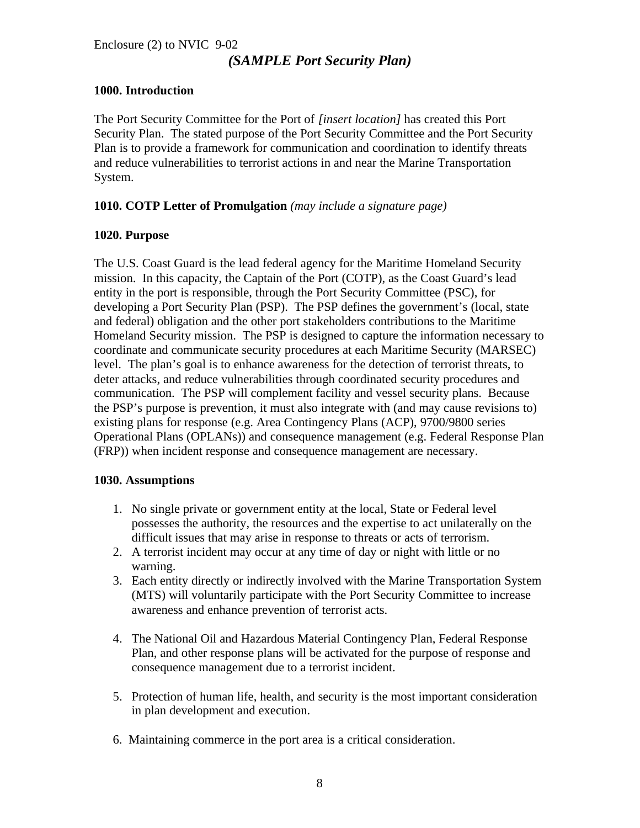#### **1000. Introduction**

The Port Security Committee for the Port of *[insert location]* has created this Port Security Plan. The stated purpose of the Port Security Committee and the Port Security Plan is to provide a framework for communication and coordination to identify threats and reduce vulnerabilities to terrorist actions in and near the Marine Transportation System.

#### **1010. COTP Letter of Promulgation** *(may include a signature page)*

#### **1020. Purpose**

The U.S. Coast Guard is the lead federal agency for the Maritime Homeland Security mission. In this capacity, the Captain of the Port (COTP), as the Coast Guard's lead entity in the port is responsible, through the Port Security Committee (PSC), for developing a Port Security Plan (PSP). The PSP defines the government's (local, state and federal) obligation and the other port stakeholders contributions to the Maritime Homeland Security mission. The PSP is designed to capture the information necessary to coordinate and communicate security procedures at each Maritime Security (MARSEC) level. The plan's goal is to enhance awareness for the detection of terrorist threats, to deter attacks, and reduce vulnerabilities through coordinated security procedures and communication. The PSP will complement facility and vessel security plans. Because the PSP's purpose is prevention, it must also integrate with (and may cause revisions to) existing plans for response (e.g. Area Contingency Plans (ACP), 9700/9800 series Operational Plans (OPLANs)) and consequence management (e.g. Federal Response Plan (FRP)) when incident response and consequence management are necessary.

#### **1030. Assumptions**

- 1. No single private or government entity at the local, State or Federal level possesses the authority, the resources and the expertise to act unilaterally on the difficult issues that may arise in response to threats or acts of terrorism.
- 2. A terrorist incident may occur at any time of day or night with little or no warning.
- 3. Each entity directly or indirectly involved with the Marine Transportation System (MTS) will voluntarily participate with the Port Security Committee to increase awareness and enhance prevention of terrorist acts.
- 4. The National Oil and Hazardous Material Contingency Plan, Federal Response Plan, and other response plans will be activated for the purpose of response and consequence management due to a terrorist incident.
- 5. Protection of human life, health, and security is the most important consideration in plan development and execution.
- 6. Maintaining commerce in the port area is a critical consideration.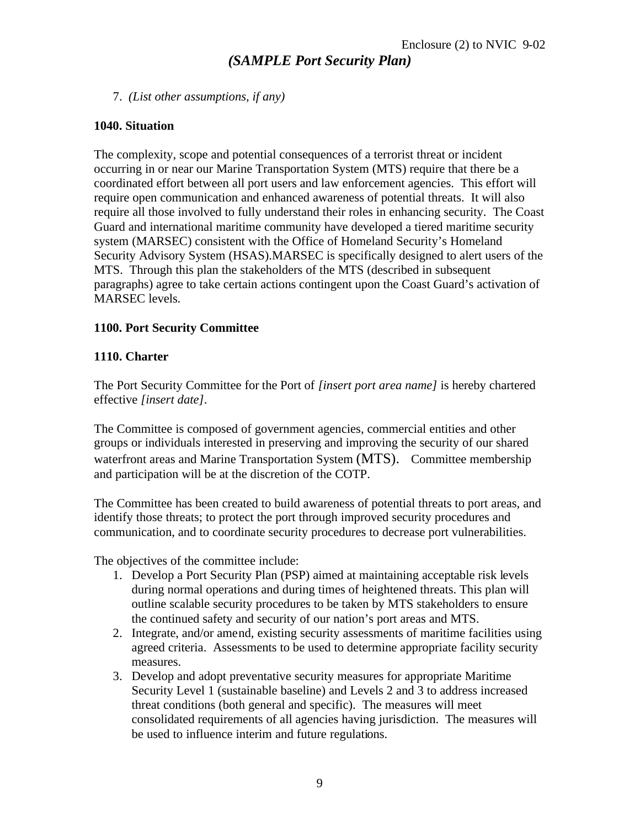7. *(List other assumptions, if any)*

# **1040. Situation**

The complexity, scope and potential consequences of a terrorist threat or incident occurring in or near our Marine Transportation System (MTS) require that there be a coordinated effort between all port users and law enforcement agencies. This effort will require open communication and enhanced awareness of potential threats. It will also require all those involved to fully understand their roles in enhancing security. The Coast Guard and international maritime community have developed a tiered maritime security system (MARSEC) consistent with the Office of Homeland Security's Homeland Security Advisory System (HSAS).MARSEC is specifically designed to alert users of the MTS. Through this plan the stakeholders of the MTS (described in subsequent paragraphs) agree to take certain actions contingent upon the Coast Guard's activation of MARSEC levels.

# **1100. Port Security Committee**

# **1110. Charter**

The Port Security Committee for the Port of *[insert port area name]* is hereby chartered effective *[insert date]*.

The Committee is composed of government agencies, commercial entities and other groups or individuals interested in preserving and improving the security of our shared waterfront areas and Marine Transportation System (MTS). Committee membership and participation will be at the discretion of the COTP.

The Committee has been created to build awareness of potential threats to port areas, and identify those threats; to protect the port through improved security procedures and communication, and to coordinate security procedures to decrease port vulnerabilities.

The objectives of the committee include:

- 1. Develop a Port Security Plan (PSP) aimed at maintaining acceptable risk levels during normal operations and during times of heightened threats. This plan will outline scalable security procedures to be taken by MTS stakeholders to ensure the continued safety and security of our nation's port areas and MTS.
- 2. Integrate, and/or amend, existing security assessments of maritime facilities using agreed criteria. Assessments to be used to determine appropriate facility security measures.
- 3. Develop and adopt preventative security measures for appropriate Maritime Security Level 1 (sustainable baseline) and Levels 2 and 3 to address increased threat conditions (both general and specific). The measures will meet consolidated requirements of all agencies having jurisdiction. The measures will be used to influence interim and future regulations.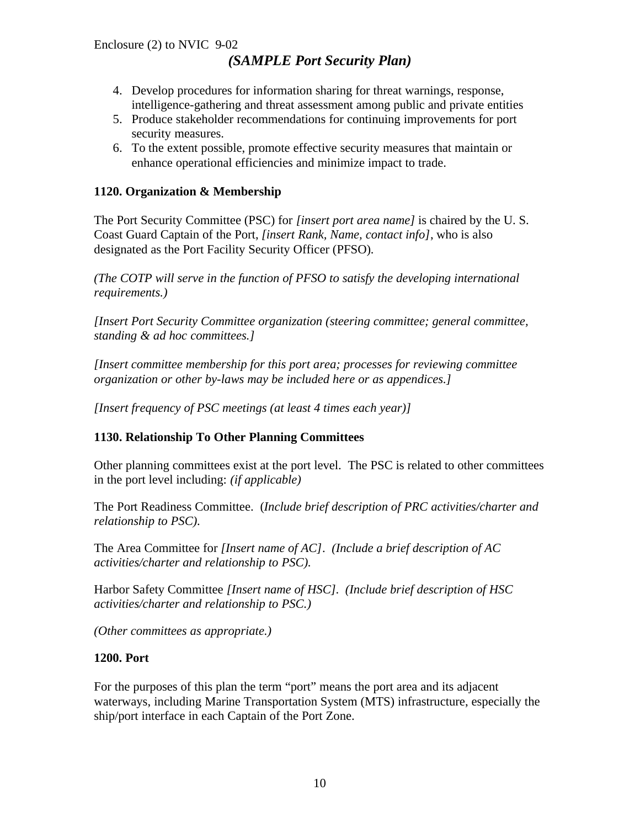- 4. Develop procedures for information sharing for threat warnings, response, intelligence-gathering and threat assessment among public and private entities
- 5. Produce stakeholder recommendations for continuing improvements for port security measures.
- 6. To the extent possible, promote effective security measures that maintain or enhance operational efficiencies and minimize impact to trade.

# **1120. Organization & Membership**

The Port Security Committee (PSC) for *[insert port area name]* is chaired by the U. S. Coast Guard Captain of the Port, *[insert Rank, Name, contact info]*, who is also designated as the Port Facility Security Officer (PFSO)*.*

*(The COTP will serve in the function of PFSO to satisfy the developing international requirements.)*

*[Insert Port Security Committee organization (steering committee; general committee, standing & ad hoc committees.]*

*[Insert committee membership for this port area; processes for reviewing committee organization or other by-laws may be included here or as appendices.]*

*[Insert frequency of PSC meetings (at least 4 times each year)]*

# **1130. Relationship To Other Planning Committees**

Other planning committees exist at the port level. The PSC is related to other committees in the port level including: *(if applicable)*

The Port Readiness Committee. (*Include brief description of PRC activities/charter and relationship to PSC).*

The Area Committee for *[Insert name of AC]*. *(Include a brief description of AC activities/charter and relationship to PSC).*

Harbor Safety Committee *[Insert name of HSC]*. *(Include brief description of HSC activities/charter and relationship to PSC.)*

*(Other committees as appropriate.)*

# **1200. Port**

For the purposes of this plan the term "port" means the port area and its adjacent waterways, including Marine Transportation System (MTS) infrastructure, especially the ship/port interface in each Captain of the Port Zone.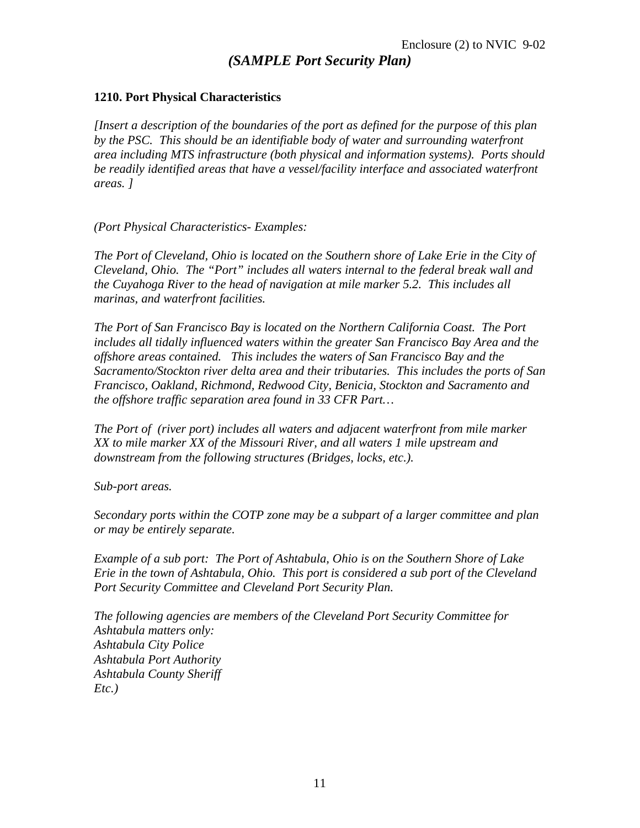#### **1210. Port Physical Characteristics**

*[Insert a description of the boundaries of the port as defined for the purpose of this plan by the PSC. This should be an identifiable body of water and surrounding waterfront area including MTS infrastructure (both physical and information systems). Ports should be readily identified areas that have a vessel/facility interface and associated waterfront areas. ]*

*(Port Physical Characteristics- Examples:*

*The Port of Cleveland, Ohio is located on the Southern shore of Lake Erie in the City of Cleveland, Ohio. The "Port" includes all waters internal to the federal break wall and the Cuyahoga River to the head of navigation at mile marker 5.2. This includes all marinas, and waterfront facilities.*

*The Port of San Francisco Bay is located on the Northern California Coast. The Port includes all tidally influenced waters within the greater San Francisco Bay Area and the offshore areas contained. This includes the waters of San Francisco Bay and the Sacramento/Stockton river delta area and their tributaries. This includes the ports of San Francisco, Oakland, Richmond, Redwood City, Benicia, Stockton and Sacramento and the offshore traffic separation area found in 33 CFR Part…*

*The Port of (river port) includes all waters and adjacent waterfront from mile marker XX to mile marker XX of the Missouri River, and all waters 1 mile upstream and downstream from the following structures (Bridges, locks, etc.).* 

*Sub-port areas.* 

*Secondary ports within the COTP zone may be a subpart of a larger committee and plan or may be entirely separate.* 

*Example of a sub port: The Port of Ashtabula, Ohio is on the Southern Shore of Lake Erie in the town of Ashtabula, Ohio. This port is considered a sub port of the Cleveland Port Security Committee and Cleveland Port Security Plan.*

*The following agencies are members of the Cleveland Port Security Committee for Ashtabula matters only: Ashtabula City Police Ashtabula Port Authority Ashtabula County Sheriff Etc.)*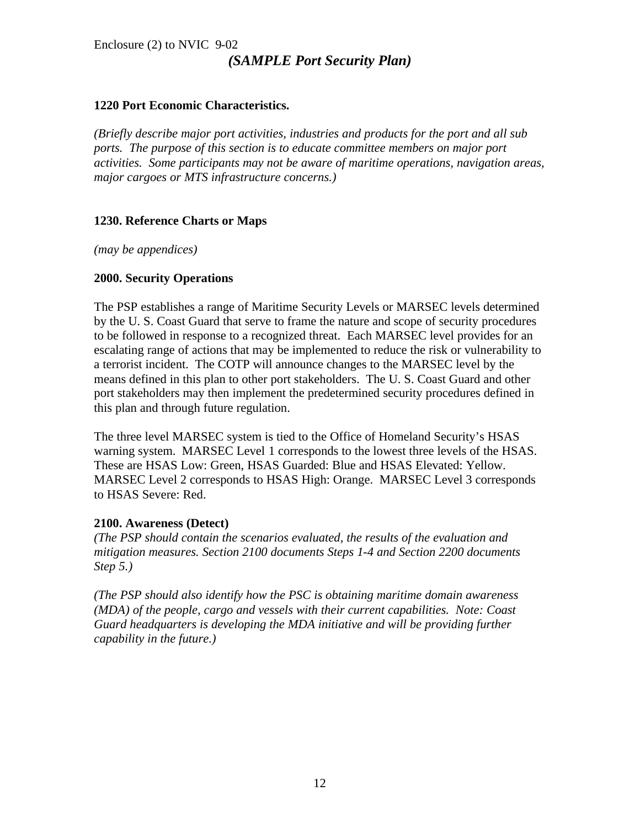#### Enclosure (2) to NVIC 9-02

# *(SAMPLE Port Security Plan)*

#### **1220 Port Economic Characteristics.**

*(Briefly describe major port activities, industries and products for the port and all sub ports. The purpose of this section is to educate committee members on major port activities. Some participants may not be aware of maritime operations, navigation areas, major cargoes or MTS infrastructure concerns.)* 

#### **1230. Reference Charts or Maps**

*(may be appendices)*

#### **2000. Security Operations**

The PSP establishes a range of Maritime Security Levels or MARSEC levels determined by the U. S. Coast Guard that serve to frame the nature and scope of security procedures to be followed in response to a recognized threat. Each MARSEC level provides for an escalating range of actions that may be implemented to reduce the risk or vulnerability to a terrorist incident. The COTP will announce changes to the MARSEC level by the means defined in this plan to other port stakeholders. The U. S. Coast Guard and other port stakeholders may then implement the predetermined security procedures defined in this plan and through future regulation.

The three level MARSEC system is tied to the Office of Homeland Security's HSAS warning system. MARSEC Level 1 corresponds to the lowest three levels of the HSAS. These are HSAS Low: Green, HSAS Guarded: Blue and HSAS Elevated: Yellow. MARSEC Level 2 corresponds to HSAS High: Orange. MARSEC Level 3 corresponds to HSAS Severe: Red.

#### **2100. Awareness (Detect)**

*(The PSP should contain the scenarios evaluated, the results of the evaluation and mitigation measures. Section 2100 documents Steps 1-4 and Section 2200 documents Step 5.)*

*(The PSP should also identify how the PSC is obtaining maritime domain awareness (MDA) of the people, cargo and vessels with their current capabilities. Note: Coast Guard headquarters is developing the MDA initiative and will be providing further capability in the future.)*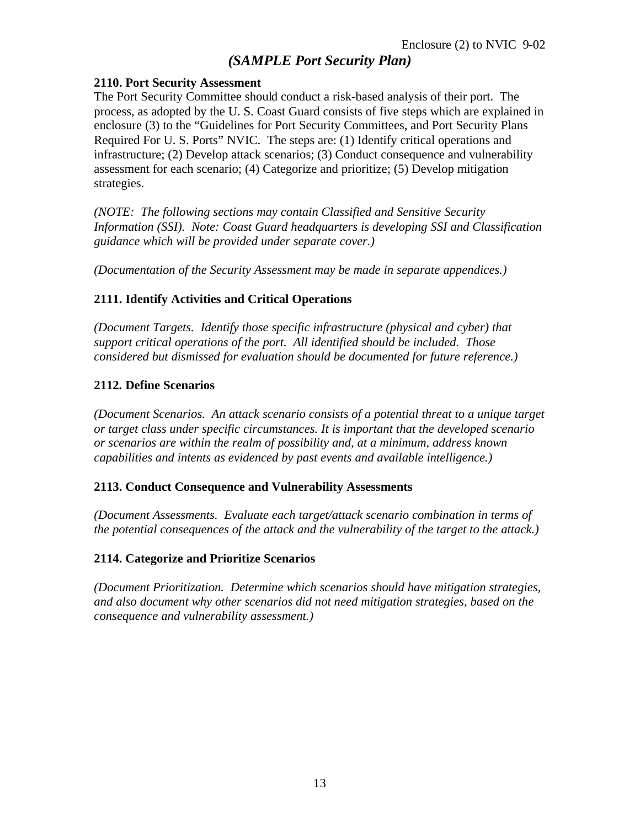# **2110. Port Security Assessment**

The Port Security Committee should conduct a risk-based analysis of their port. The process, as adopted by the U. S. Coast Guard consists of five steps which are explained in enclosure (3) to the "Guidelines for Port Security Committees, and Port Security Plans Required For U. S. Ports" NVIC. The steps are: (1) Identify critical operations and infrastructure; (2) Develop attack scenarios; (3) Conduct consequence and vulnerability assessment for each scenario; (4) Categorize and prioritize; (5) Develop mitigation strategies.

*(NOTE: The following sections may contain Classified and Sensitive Security Information (SSI). Note: Coast Guard headquarters is developing SSI and Classification guidance which will be provided under separate cover.)*

*(Documentation of the Security Assessment may be made in separate appendices.)* 

# **2111. Identify Activities and Critical Operations**

*(Document Targets. Identify those specific infrastructure (physical and cyber) that support critical operations of the port. All identified should be included. Those considered but dismissed for evaluation should be documented for future reference.)*

# **2112. Define Scenarios**

*(Document Scenarios. An attack scenario consists of a potential threat to a unique target or target class under specific circumstances. It is important that the developed scenario or scenarios are within the realm of possibility and, at a minimum, address known capabilities and intents as evidenced by past events and available intelligence.)* 

#### **2113. Conduct Consequence and Vulnerability Assessments**

*(Document Assessments. Evaluate each target/attack scenario combination in terms of the potential consequences of the attack and the vulnerability of the target to the attack.)*

#### **2114. Categorize and Prioritize Scenarios**

*(Document Prioritization. Determine which scenarios should have mitigation strategies, and also document why other scenarios did not need mitigation strategies, based on the consequence and vulnerability assessment.)*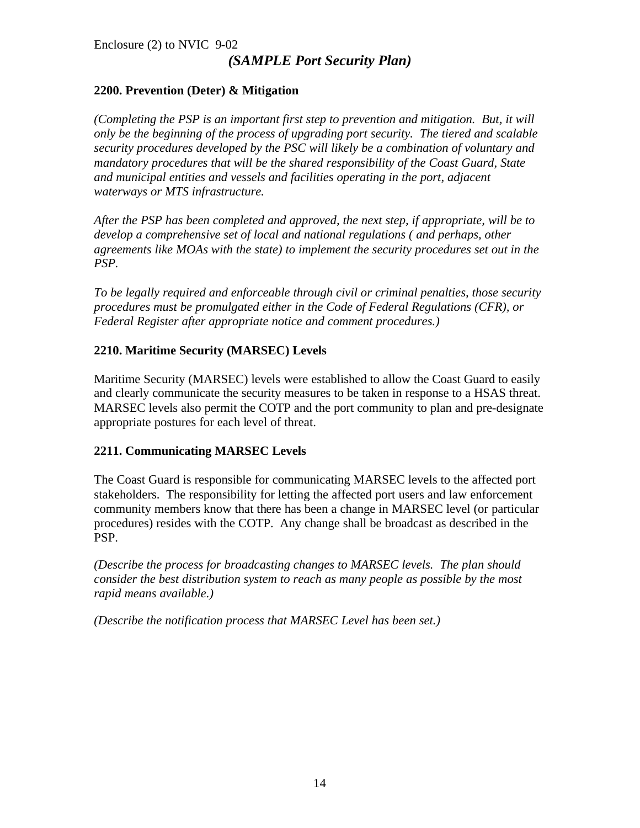#### **2200. Prevention (Deter) & Mitigation**

*(Completing the PSP is an important first step to prevention and mitigation. But, it will only be the beginning of the process of upgrading port security. The tiered and scalable security procedures developed by the PSC will likely be a combination of voluntary and mandatory procedures that will be the shared responsibility of the Coast Guard, State and municipal entities and vessels and facilities operating in the port, adjacent waterways or MTS infrastructure.*

*After the PSP has been completed and approved, the next step, if appropriate, will be to develop a comprehensive set of local and national regulations ( and perhaps, other agreements like MOAs with the state) to implement the security procedures set out in the PSP.*

*To be legally required and enforceable through civil or criminal penalties, those security procedures must be promulgated either in the Code of Federal Regulations (CFR), or Federal Register after appropriate notice and comment procedures.)*

# **2210. Maritime Security (MARSEC) Levels**

Maritime Security (MARSEC) levels were established to allow the Coast Guard to easily and clearly communicate the security measures to be taken in response to a HSAS threat. MARSEC levels also permit the COTP and the port community to plan and pre-designate appropriate postures for each level of threat.

#### **2211. Communicating MARSEC Levels**

The Coast Guard is responsible for communicating MARSEC levels to the affected port stakeholders. The responsibility for letting the affected port users and law enforcement community members know that there has been a change in MARSEC level (or particular procedures) resides with the COTP.Any change shall be broadcast as described in the PSP.

*(Describe the process for broadcasting changes to MARSEC levels. The plan should consider the best distribution system to reach as many people as possible by the most rapid means available.)*

*(Describe the notification process that MARSEC Level has been set.)*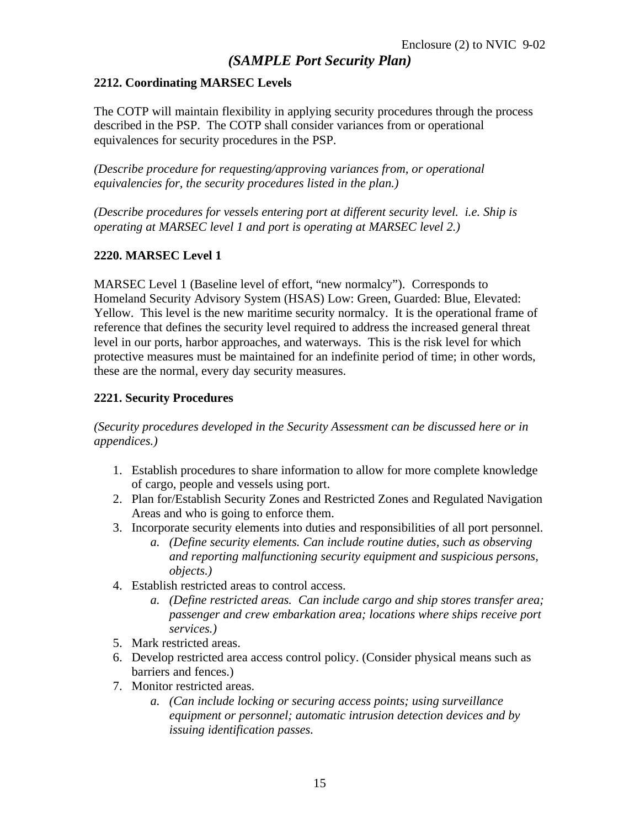# **2212. Coordinating MARSEC Levels**

The COTP will maintain flexibility in applying security procedures through the process described in the PSP. The COTP shall consider variances from or operational equivalences for security procedures in the PSP.

*(Describe procedure for requesting/approving variances from, or operational equivalencies for, the security procedures listed in the plan.)*

*(Describe procedures for vessels entering port at different security level. i.e. Ship is operating at MARSEC level 1 and port is operating at MARSEC level 2.)*

# **2220. MARSEC Level 1**

MARSEC Level 1 (Baseline level of effort, "new normalcy"). Corresponds to Homeland Security Advisory System (HSAS) Low: Green, Guarded: Blue, Elevated: Yellow. This level is the new maritime security normalcy. It is the operational frame of reference that defines the security level required to address the increased general threat level in our ports, harbor approaches, and waterways. This is the risk level for which protective measures must be maintained for an indefinite period of time; in other words, these are the normal, every day security measures.

# **2221. Security Procedures**

*(Security procedures developed in the Security Assessment can be discussed here or in appendices.)*

- 1. Establish procedures to share information to allow for more complete knowledge of cargo, people and vessels using port.
- 2. Plan for/Establish Security Zones and Restricted Zones and Regulated Navigation Areas and who is going to enforce them.
- 3. Incorporate security elements into duties and responsibilities of all port personnel.
	- *a. (Define security elements. Can include routine duties, such as observing and reporting malfunctioning security equipment and suspicious persons, objects.)*
- 4. Establish restricted areas to control access.
	- *a. (Define restricted areas. Can include cargo and ship stores transfer area; passenger and crew embarkation area; locations where ships receive port services.)*
- 5. Mark restricted areas.
- 6. Develop restricted area access control policy. (Consider physical means such as barriers and fences.)
- 7. Monitor restricted areas.
	- *a. (Can include locking or securing access points; using surveillance equipment or personnel; automatic intrusion detection devices and by issuing identification passes.*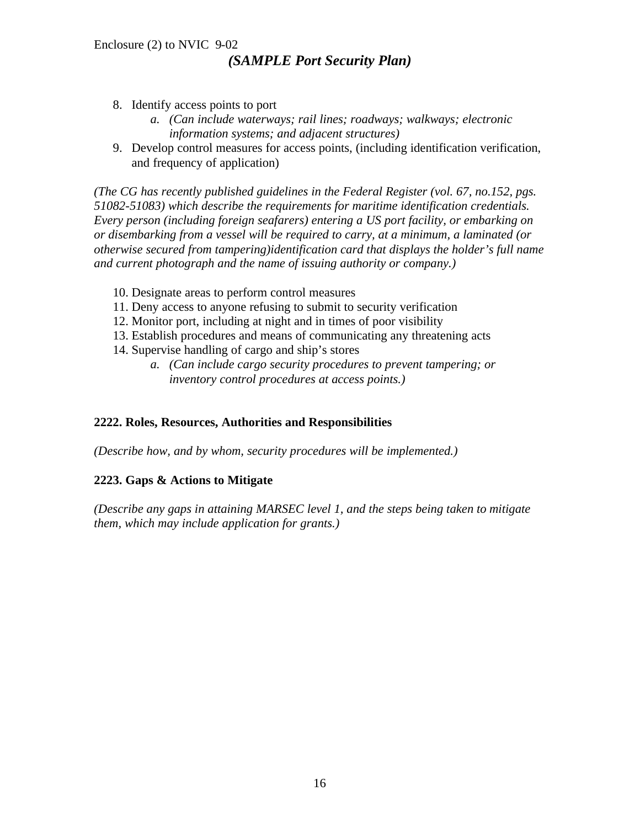- 8. Identify access points to port
	- *a. (Can include waterways; rail lines; roadways; walkways; electronic information systems; and adjacent structures)*
- 9. Develop control measures for access points, (including identification verification, and frequency of application)

*(The CG has recently published guidelines in the Federal Register (vol. 67, no.152, pgs. 51082-51083) which describe the requirements for maritime identification credentials. Every person (including foreign seafarers) entering a US port facility, or embarking on or disembarking from a vessel will be required to carry, at a minimum, a laminated (or otherwise secured from tampering)identification card that displays the holder's full name and current photograph and the name of issuing authority or company.)*

- 10. Designate areas to perform control measures
- 11. Deny access to anyone refusing to submit to security verification
- 12. Monitor port, including at night and in times of poor visibility
- 13. Establish procedures and means of communicating any threatening acts
- 14. Supervise handling of cargo and ship's stores
	- *a. (Can include cargo security procedures to prevent tampering; or inventory control procedures at access points.)*

# **2222. Roles, Resources, Authorities and Responsibilities**

*(Describe how, and by whom, security procedures will be implemented.)*

# **2223. Gaps & Actions to Mitigate**

*(Describe any gaps in attaining MARSEC level 1, and the steps being taken to mitigate them, which may include application for grants.)*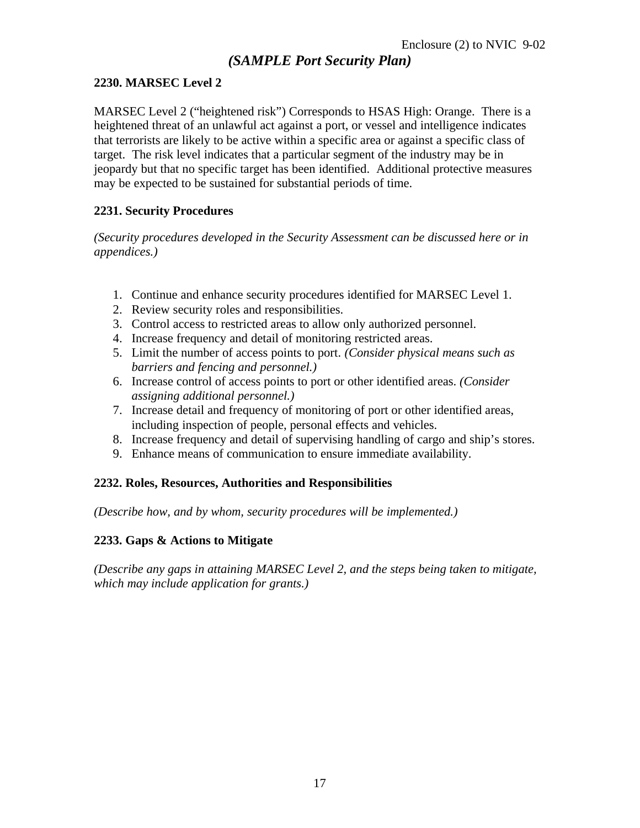# **2230. MARSEC Level 2**

MARSEC Level 2 ("heightened risk") Corresponds to HSAS High: Orange. There is a heightened threat of an unlawful act against a port, or vessel and intelligence indicates that terrorists are likely to be active within a specific area or against a specific class of target. The risk level indicates that a particular segment of the industry may be in jeopardy but that no specific target has been identified. Additional protective measures may be expected to be sustained for substantial periods of time.

# **2231. Security Procedures**

*(Security procedures developed in the Security Assessment can be discussed here or in appendices.)*

- 1. Continue and enhance security procedures identified for MARSEC Level 1.
- 2. Review security roles and responsibilities.
- 3. Control access to restricted areas to allow only authorized personnel.
- 4. Increase frequency and detail of monitoring restricted areas.
- 5. Limit the number of access points to port*. (Consider physical means such as barriers and fencing and personnel.)*
- 6. Increase control of access points to port or other identified areas. *(Consider assigning additional personnel.)*
- 7. Increase detail and frequency of monitoring of port or other identified areas, including inspection of people, personal effects and vehicles.
- 8. Increase frequency and detail of supervising handling of cargo and ship's stores.
- 9. Enhance means of communication to ensure immediate availability.

# **2232. Roles, Resources, Authorities and Responsibilities**

*(Describe how, and by whom, security procedures will be implemented.)*

# **2233. Gaps & Actions to Mitigate**

*(Describe any gaps in attaining MARSEC Level 2, and the steps being taken to mitigate, which may include application for grants.)*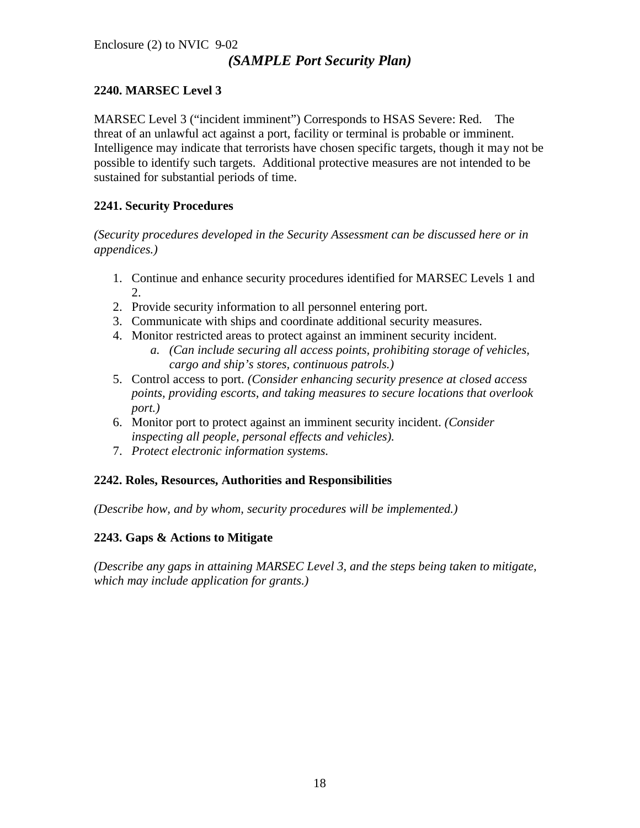#### Enclosure (2) to NVIC 9-02

# *(SAMPLE Port Security Plan)*

# **2240. MARSEC Level 3**

MARSEC Level 3 ("incident imminent") Corresponds to HSAS Severe: Red. The threat of an unlawful act against a port, facility or terminal is probable or imminent. Intelligence may indicate that terrorists have chosen specific targets, though it may not be possible to identify such targets. Additional protective measures are not intended to be sustained for substantial periods of time.

# **2241. Security Procedures**

*(Security procedures developed in the Security Assessment can be discussed here or in appendices.)*

- 1. Continue and enhance security procedures identified for MARSEC Levels 1 and 2.
- 2. Provide security information to all personnel entering port.
- 3. Communicate with ships and coordinate additional security measures.
- 4. Monitor restricted areas to protect against an imminent security incident.
	- *a. (Can include securing all access points, prohibiting storage of vehicles, cargo and ship's stores, continuous patrols.)*
- 5. Control access to port. *(Consider enhancing security presence at closed access points, providing escorts, and taking measures to secure locations that overlook port.)*
- 6. Monitor port to protect against an imminent security incident. *(Consider inspecting all people, personal effects and vehicles).*
- 7. *Protect electronic information systems.*

#### **2242. Roles, Resources, Authorities and Responsibilities**

*(Describe how, and by whom, security procedures will be implemented.)*

#### **2243. Gaps & Actions to Mitigate**

*(Describe any gaps in attaining MARSEC Level 3, and the steps being taken to mitigate, which may include application for grants.)*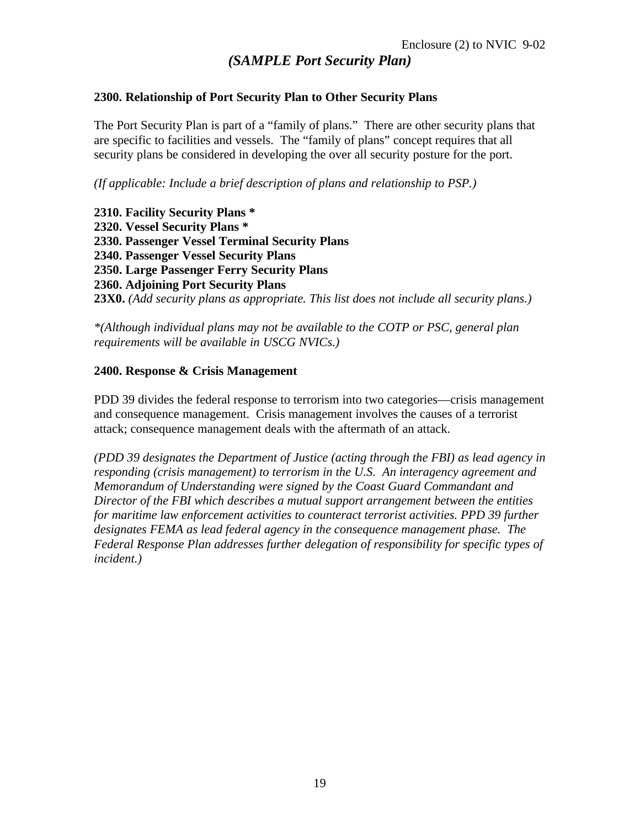# **2300. Relationship of Port Security Plan to Other Security Plans**

The Port Security Plan is part of a "family of plans." There are other security plans that are specific to facilities and vessels. The "family of plans" concept requires that all security plans be considered in developing the over all security posture for the port.

*(If applicable: Include a brief description of plans and relationship to PSP.)*

**2310. Facility Security Plans \* 2320. Vessel Security Plans \* 2330. Passenger Vessel Terminal Security Plans 2340. Passenger Vessel Security Plans 2350. Large Passenger Ferry Security Plans 2360. Adjoining Port Security Plans 23X0.** *(Add security plans as appropriate. This list does not include all security plans.)*

*\*(Although individual plans may not be available to the COTP or PSC, general plan requirements will be available in USCG NVICs.)*

# **2400. Response & Crisis Management**

PDD 39 divides the federal response to terrorism into two categories—crisis management and consequence management. Crisis management involves the causes of a terrorist attack; consequence management deals with the aftermath of an attack.

*(PDD 39 designates the Department of Justice (acting through the FBI) as lead agency in responding (crisis management) to terrorism in the U.S. An interagency agreement and Memorandum of Understanding were signed by the Coast Guard Commandant and Director of the FBI which describes a mutual support arrangement between the entities for maritime law enforcement activities to counteract terrorist activities. PPD 39 further designates FEMA as lead federal agency in the consequence management phase. The Federal Response Plan addresses further delegation of responsibility for specific types of incident.)*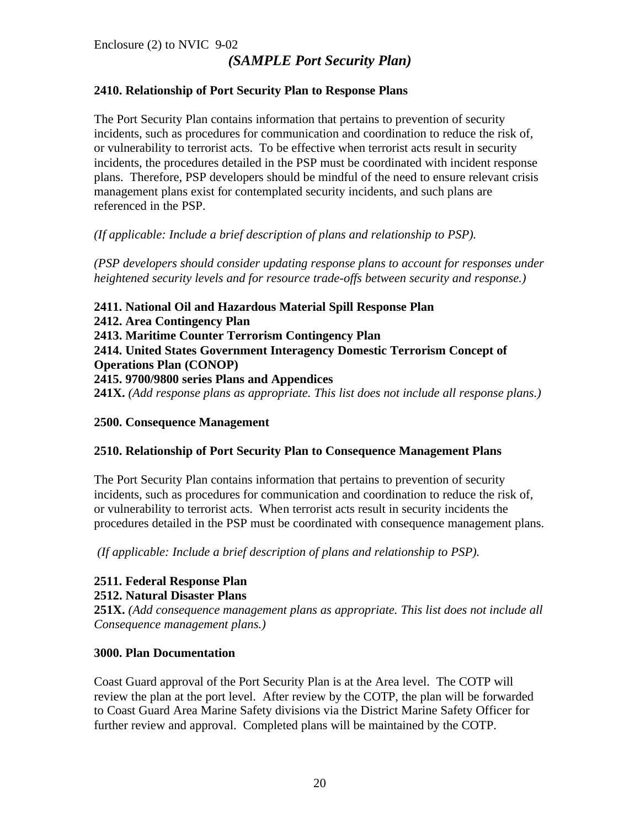# **2410. Relationship of Port Security Plan to Response Plans**

The Port Security Plan contains information that pertains to prevention of security incidents, such as procedures for communication and coordination to reduce the risk of, or vulnerability to terrorist acts. To be effective when terrorist acts result in security incidents, the procedures detailed in the PSP must be coordinated with incident response plans. Therefore, PSP developers should be mindful of the need to ensure relevant crisis management plans exist for contemplated security incidents, and such plans are referenced in the PSP.

# *(If applicable: Include a brief description of plans and relationship to PSP).*

*(PSP developers should consider updating response plans to account for responses under heightened security levels and for resource trade-offs between security and response.)*

**2411. National Oil and Hazardous Material Spill Response Plan 2412. Area Contingency Plan 2413. Maritime Counter Terrorism Contingency Plan 2414. United States Government Interagency Domestic Terrorism Concept of Operations Plan (CONOP) 2415. 9700/9800 series Plans and Appendices 241X.** *(Add response plans as appropriate. This list does not include all response plans.)*

#### **2500. Consequence Management**

#### **2510. Relationship of Port Security Plan to Consequence Management Plans**

The Port Security Plan contains information that pertains to prevention of security incidents, such as procedures for communication and coordination to reduce the risk of, or vulnerability to terrorist acts. When terrorist acts result in security incidents the procedures detailed in the PSP must be coordinated with consequence management plans.

 *(If applicable: Include a brief description of plans and relationship to PSP).*

# **2511. Federal Response Plan**

#### **2512. Natural Disaster Plans**

**251X.** *(Add consequence management plans as appropriate. This list does not include all Consequence management plans.)*

#### **3000. Plan Documentation**

Coast Guard approval of the Port Security Plan is at the Area level. The COTP will review the plan at the port level. After review by the COTP, the plan will be forwarded to Coast Guard Area Marine Safety divisions via the District Marine Safety Officer for further review and approval. Completed plans will be maintained by the COTP.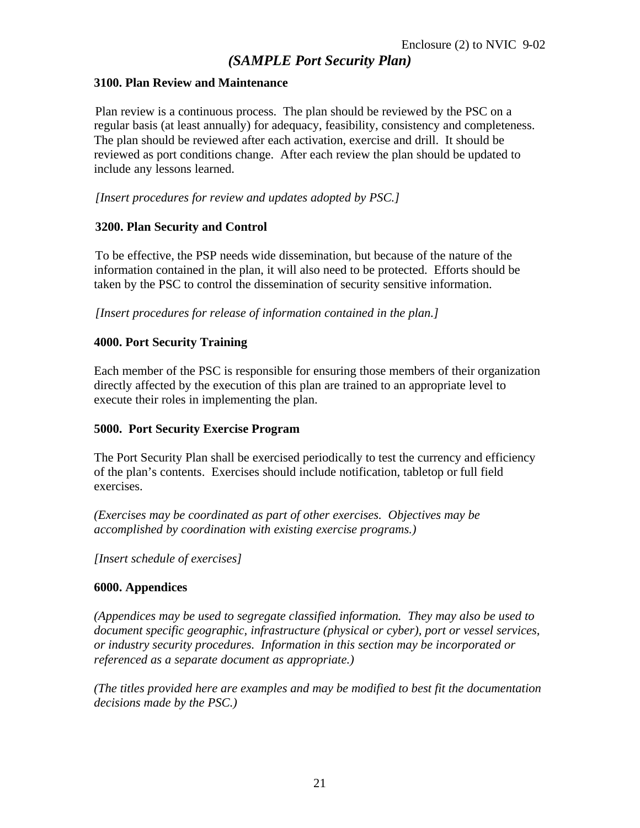# **3100. Plan Review and Maintenance**

Plan review is a continuous process. The plan should be reviewed by the PSC on a regular basis (at least annually) for adequacy, feasibility, consistency and completeness. The plan should be reviewed after each activation, exercise and drill. It should be reviewed as port conditions change. After each review the plan should be updated to include any lessons learned.

*[Insert procedures for review and updates adopted by PSC.]*

# **3200. Plan Security and Control**

To be effective, the PSP needs wide dissemination, but because of the nature of the information contained in the plan, it will also need to be protected. Efforts should be taken by the PSC to control the dissemination of security sensitive information.

*[Insert procedures for release of information contained in the plan.]*

# **4000. Port Security Training**

Each member of the PSC is responsible for ensuring those members of their organization directly affected by the execution of this plan are trained to an appropriate level to execute their roles in implementing the plan.

#### **5000. Port Security Exercise Program**

The Port Security Plan shall be exercised periodically to test the currency and efficiency of the plan's contents. Exercises should include notification, tabletop or full field exercises.

*(Exercises may be coordinated as part of other exercises. Objectives may be accomplished by coordination with existing exercise programs.)*

*[Insert schedule of exercises]*

#### **6000. Appendices**

*(Appendices may be used to segregate classified information. They may also be used to document specific geographic, infrastructure (physical or cyber), port or vessel services, or industry security procedures. Information in this section may be incorporated or referenced as a separate document as appropriate.)* 

*(The titles provided here are examples and may be modified to best fit the documentation decisions made by the PSC.)*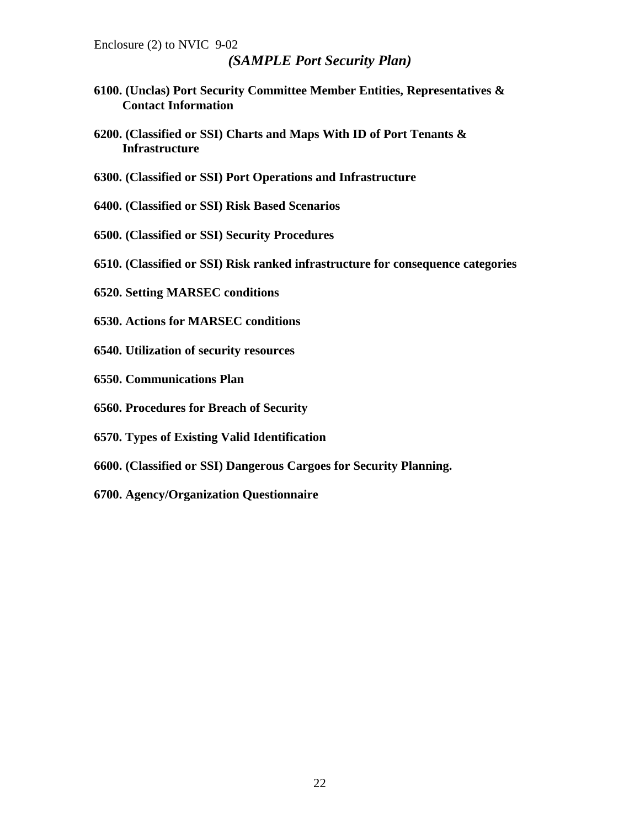- **6100. (Unclas) Port Security Committee Member Entities, Representatives & Contact Information**
- **6200. (Classified or SSI) Charts and Maps With ID of Port Tenants & Infrastructure**
- **6300. (Classified or SSI) Port Operations and Infrastructure**
- **6400. (Classified or SSI) Risk Based Scenarios**
- **6500. (Classified or SSI) Security Procedures**
- **6510. (Classified or SSI) Risk ranked infrastructure for consequence categories**
- **6520. Setting MARSEC conditions**
- **6530. Actions for MARSEC conditions**
- **6540. Utilization of security resources**
- **6550. Communications Plan**
- **6560. Procedures for Breach of Security**
- **6570. Types of Existing Valid Identification**
- **6600. (Classified or SSI) Dangerous Cargoes for Security Planning.**
- **6700. Agency/Organization Questionnaire**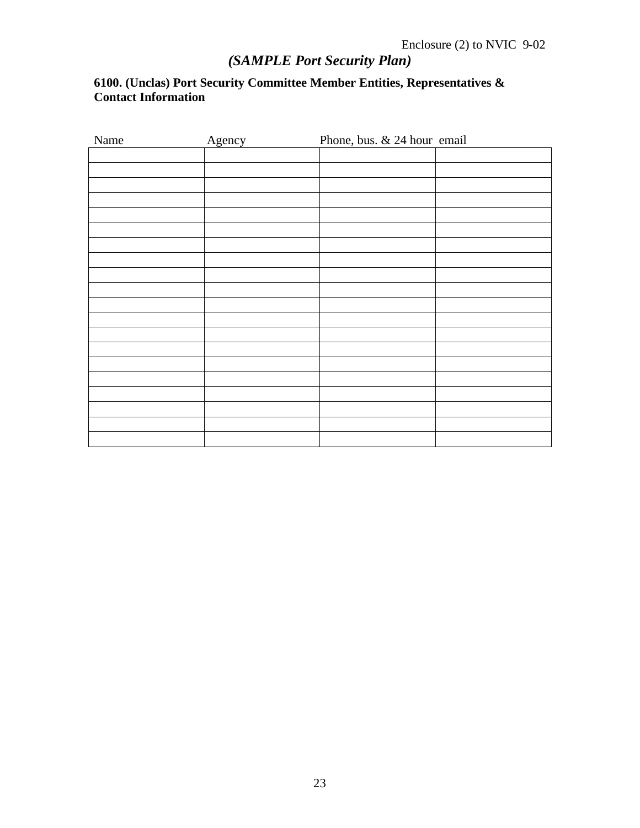# **6100. (Unclas) Port Security Committee Member Entities, Representatives & Contact Information**

| Name | Agency | Phone, bus. & 24 hour email |  |
|------|--------|-----------------------------|--|
|      |        |                             |  |
|      |        |                             |  |
|      |        |                             |  |
|      |        |                             |  |
|      |        |                             |  |
|      |        |                             |  |
|      |        |                             |  |
|      |        |                             |  |
|      |        |                             |  |
|      |        |                             |  |
|      |        |                             |  |
|      |        |                             |  |
|      |        |                             |  |
|      |        |                             |  |
|      |        |                             |  |
|      |        |                             |  |
|      |        |                             |  |
|      |        |                             |  |
|      |        |                             |  |
|      |        |                             |  |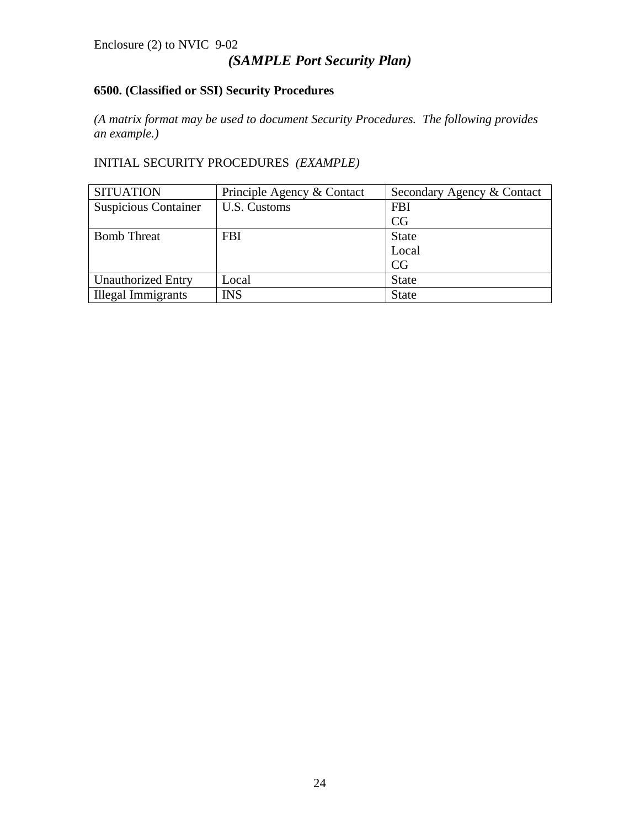# Enclosure (2) to NVIC 9-02

# *(SAMPLE Port Security Plan)*

# **6500. (Classified or SSI) Security Procedures**

*(A matrix format may be used to document Security Procedures. The following provides an example.)* 

# INITIAL SECURITY PROCEDURES *(EXAMPLE)*

| <b>SITUATION</b>            | Principle Agency & Contact | Secondary Agency & Contact |
|-----------------------------|----------------------------|----------------------------|
| <b>Suspicious Container</b> | U.S. Customs               | <b>FBI</b>                 |
|                             |                            | CG                         |
| <b>Bomb Threat</b>          | <b>FBI</b>                 | <b>State</b>               |
|                             |                            | Local                      |
|                             |                            | CG                         |
| <b>Unauthorized Entry</b>   | Local                      | <b>State</b>               |
| <b>Illegal Immigrants</b>   | <b>INS</b>                 | <b>State</b>               |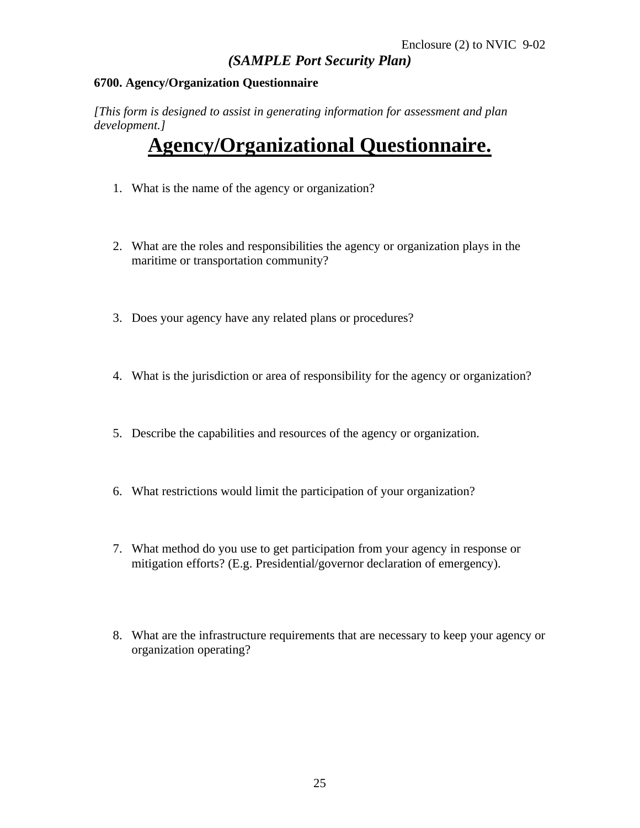#### **6700. Agency/Organization Questionnaire**

*[This form is designed to assist in generating information for assessment and plan development.]* 

# **Agency/Organizational Questionnaire.**

- 1. What is the name of the agency or organization?
- 2. What are the roles and responsibilities the agency or organization plays in the maritime or transportation community?
- 3. Does your agency have any related plans or procedures?
- 4. What is the jurisdiction or area of responsibility for the agency or organization?
- 5. Describe the capabilities and resources of the agency or organization.
- 6. What restrictions would limit the participation of your organization?
- 7. What method do you use to get participation from your agency in response or mitigation efforts? (E.g. Presidential/governor declaration of emergency).
- 8. What are the infrastructure requirements that are necessary to keep your agency or organization operating?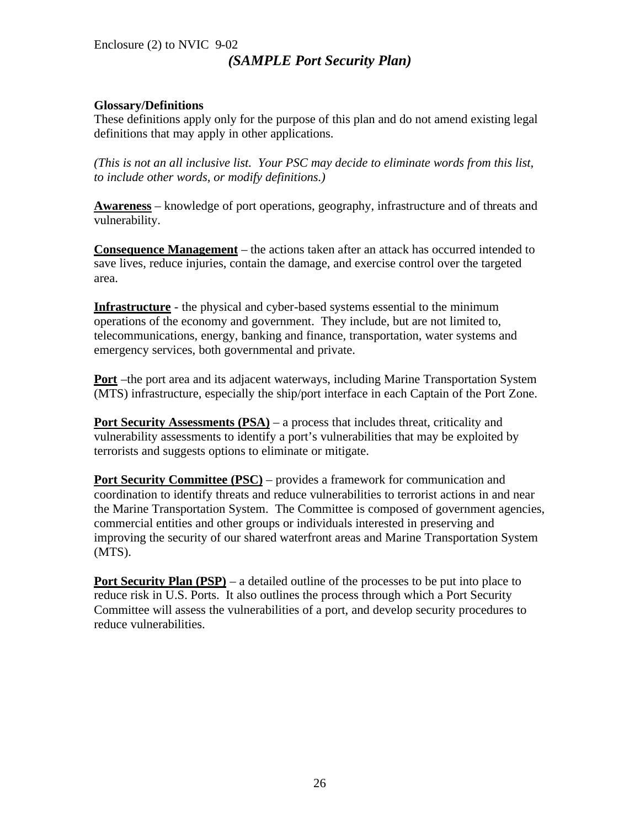#### Enclosure (2) to NVIC 9-02

# *(SAMPLE Port Security Plan)*

#### **Glossary/Definitions**

These definitions apply only for the purpose of this plan and do not amend existing legal definitions that may apply in other applications.

*(This is not an all inclusive list. Your PSC may decide to eliminate words from this list, to include other words, or modify definitions.)*

**Awareness** – knowledge of port operations, geography, infrastructure and of threats and vulnerability.

**Consequence Management** – the actions taken after an attack has occurred intended to save lives, reduce injuries, contain the damage, and exercise control over the targeted area.

**Infrastructure** - the physical and cyber-based systems essential to the minimum operations of the economy and government. They include, but are not limited to, telecommunications, energy, banking and finance, transportation, water systems and emergency services, both governmental and private.

**Port** –the port area and its adjacent waterways, including Marine Transportation System (MTS) infrastructure, especially the ship/port interface in each Captain of the Port Zone.

**Port Security Assessments (PSA)** – a process that includes threat, criticality and vulnerability assessments to identify a port's vulnerabilities that may be exploited by terrorists and suggests options to eliminate or mitigate.

**Port Security Committee (PSC)** – provides a framework for communication and coordination to identify threats and reduce vulnerabilities to terrorist actions in and near the Marine Transportation System. The Committee is composed of government agencies, commercial entities and other groups or individuals interested in preserving and improving the security of our shared waterfront areas and Marine Transportation System (MTS).

**Port Security Plan (PSP)** – a detailed outline of the processes to be put into place to reduce risk in U.S. Ports. It also outlines the process through which a Port Security Committee will assess the vulnerabilities of a port, and develop security procedures to reduce vulnerabilities.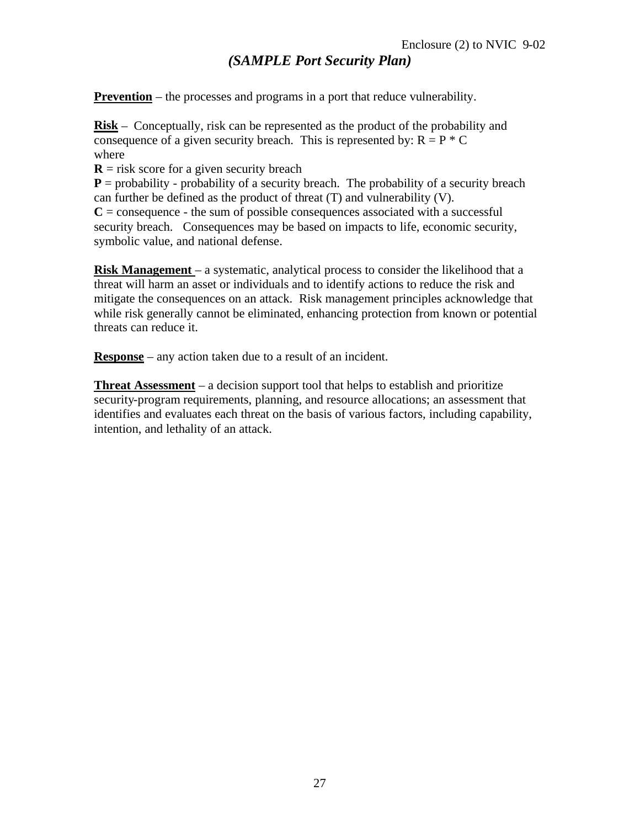**Prevention** – the processes and programs in a port that reduce vulnerability.

**Risk** – Conceptually, risk can be represented as the product of the probability and consequence of a given security breach. This is represented by:  $R = P * C$ where

 **= risk score for a given security breach** 

 $P =$  probability - probability of a security breach. The probability of a security breach can further be defined as the product of threat (T) and vulnerability (V).

 $C =$  consequence - the sum of possible consequences associated with a successful security breach. Consequences may be based on impacts to life, economic security, symbolic value, and national defense.

**Risk Management** – a systematic, analytical process to consider the likelihood that a threat will harm an asset or individuals and to identify actions to reduce the risk and mitigate the consequences on an attack. Risk management principles acknowledge that while risk generally cannot be eliminated, enhancing protection from known or potential threats can reduce it.

**Response** – any action taken due to a result of an incident.

**Threat Assessment** – a decision support tool that helps to establish and prioritize security-program requirements, planning, and resource allocations; an assessment that identifies and evaluates each threat on the basis of various factors, including capability, intention, and lethality of an attack.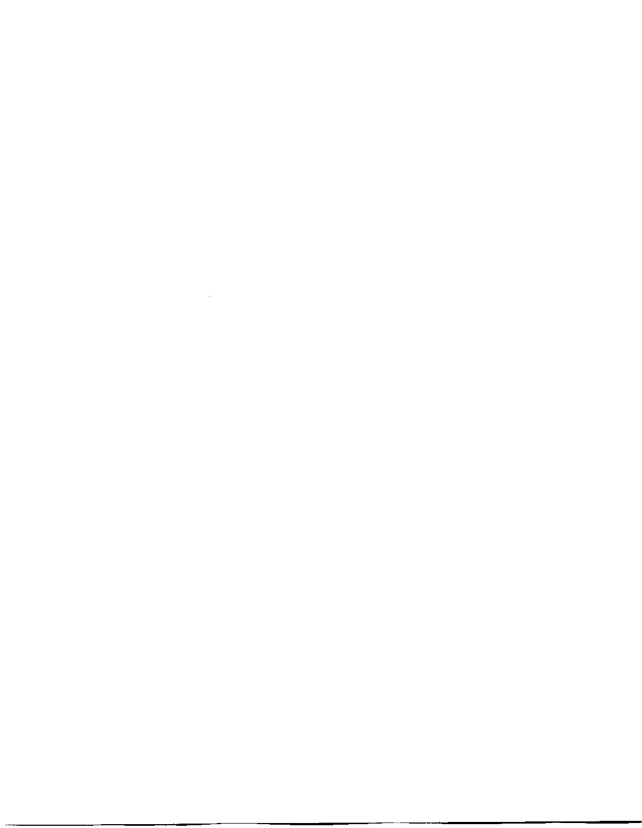$\label{eq:2.1} \frac{1}{\sqrt{2}}\int_{\mathbb{R}^3}\frac{1}{\sqrt{2}}\left(\frac{1}{\sqrt{2}}\right)^2\frac{1}{\sqrt{2}}\left(\frac{1}{\sqrt{2}}\right)^2\frac{1}{\sqrt{2}}\left(\frac{1}{\sqrt{2}}\right)^2.$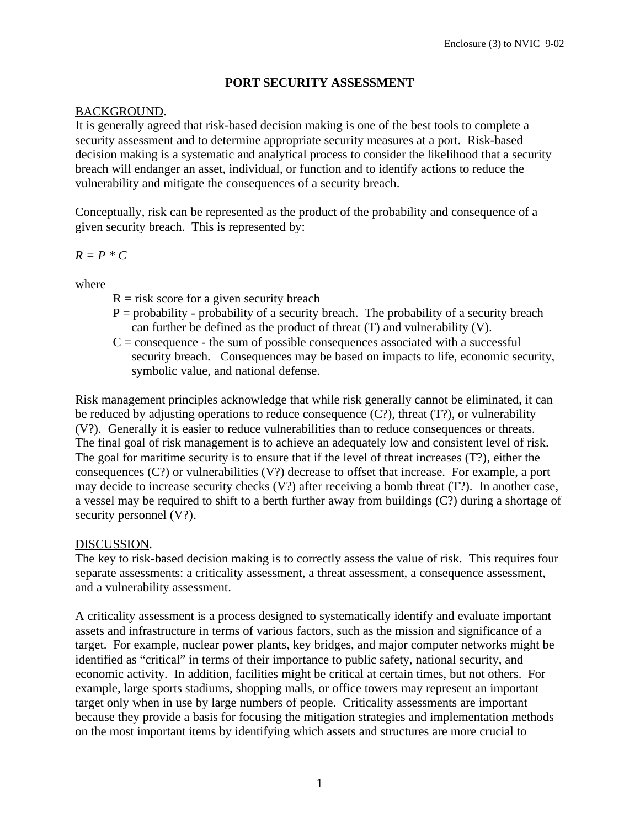# **PORT SECURITY ASSESSMENT**

# BACKGROUND.

It is generally agreed that risk-based decision making is one of the best tools to complete a security assessment and to determine appropriate security measures at a port. Risk-based decision making is a systematic and analytical process to consider the likelihood that a security breach will endanger an asset, individual, or function and to identify actions to reduce the vulnerability and mitigate the consequences of a security breach.

Conceptually, risk can be represented as the product of the probability and consequence of a given security breach. This is represented by:

# *R = P \* C*

where

- $R =$  risk score for a given security breach
- $P =$  probability probability of a security breach. The probability of a security breach can further be defined as the product of threat (T) and vulnerability (V).
- $C =$  consequence the sum of possible consequences associated with a successful security breach. Consequences may be based on impacts to life, economic security, symbolic value, and national defense.

Risk management principles acknowledge that while risk generally cannot be eliminated, it can be reduced by adjusting operations to reduce consequence  $(C?)$ , threat  $(T?)$ , or vulnerability (V?). Generally it is easier to reduce vulnerabilities than to reduce consequences or threats. The final goal of risk management is to achieve an adequately low and consistent level of risk. The goal for maritime security is to ensure that if the level of threat increases (T?), either the consequences (C?) or vulnerabilities (V?) decrease to offset that increase. For example, a port may decide to increase security checks (V?) after receiving a bomb threat (T?). In another case, a vessel may be required to shift to a berth further away from buildings (C?) during a shortage of security personnel (V?).

# DISCUSSION.

The key to risk-based decision making is to correctly assess the value of risk. This requires four separate assessments: a criticality assessment, a threat assessment, a consequence assessment, and a vulnerability assessment.

A criticality assessment is a process designed to systematically identify and evaluate important assets and infrastructure in terms of various factors, such as the mission and significance of a target. For example, nuclear power plants, key bridges, and major computer networks might be identified as "critical" in terms of their importance to public safety, national security, and economic activity. In addition, facilities might be critical at certain times, but not others. For example, large sports stadiums, shopping malls, or office towers may represent an important target only when in use by large numbers of people. Criticality assessments are important because they provide a basis for focusing the mitigation strategies and implementation methods on the most important items by identifying which assets and structures are more crucial to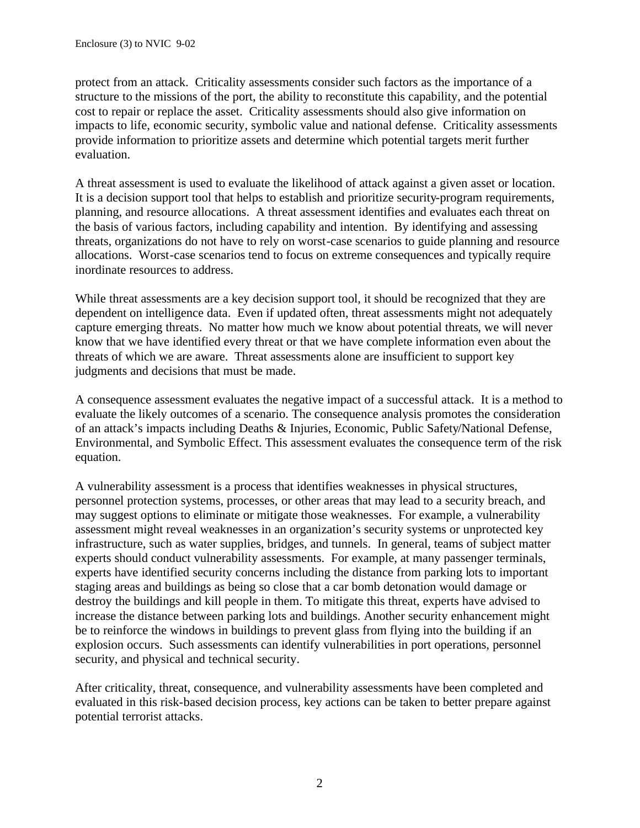protect from an attack. Criticality assessments consider such factors as the importance of a structure to the missions of the port, the ability to reconstitute this capability, and the potential cost to repair or replace the asset. Criticality assessments should also give information on impacts to life, economic security, symbolic value and national defense. Criticality assessments provide information to prioritize assets and determine which potential targets merit further evaluation.

A threat assessment is used to evaluate the likelihood of attack against a given asset or location. It is a decision support tool that helps to establish and prioritize security-program requirements, planning, and resource allocations. A threat assessment identifies and evaluates each threat on the basis of various factors, including capability and intention. By identifying and assessing threats, organizations do not have to rely on worst-case scenarios to guide planning and resource allocations. Worst-case scenarios tend to focus on extreme consequences and typically require inordinate resources to address.

While threat assessments are a key decision support tool, it should be recognized that they are dependent on intelligence data. Even if updated often, threat assessments might not adequately capture emerging threats. No matter how much we know about potential threats, we will never know that we have identified every threat or that we have complete information even about the threats of which we are aware. Threat assessments alone are insufficient to support key judgments and decisions that must be made.

A consequence assessment evaluates the negative impact of a successful attack. It is a method to evaluate the likely outcomes of a scenario. The consequence analysis promotes the consideration of an attack's impacts including Deaths & Injuries, Economic, Public Safety/National Defense, Environmental, and Symbolic Effect. This assessment evaluates the consequence term of the risk equation.

A vulnerability assessment is a process that identifies weaknesses in physical structures, personnel protection systems, processes, or other areas that may lead to a security breach, and may suggest options to eliminate or mitigate those weaknesses. For example, a vulnerability assessment might reveal weaknesses in an organization's security systems or unprotected key infrastructure, such as water supplies, bridges, and tunnels. In general, teams of subject matter experts should conduct vulnerability assessments. For example, at many passenger terminals, experts have identified security concerns including the distance from parking lots to important staging areas and buildings as being so close that a car bomb detonation would damage or destroy the buildings and kill people in them. To mitigate this threat, experts have advised to increase the distance between parking lots and buildings. Another security enhancement might be to reinforce the windows in buildings to prevent glass from flying into the building if an explosion occurs. Such assessments can identify vulnerabilities in port operations, personnel security, and physical and technical security.

After criticality, threat, consequence, and vulnerability assessments have been completed and evaluated in this risk-based decision process, key actions can be taken to better prepare against potential terrorist attacks.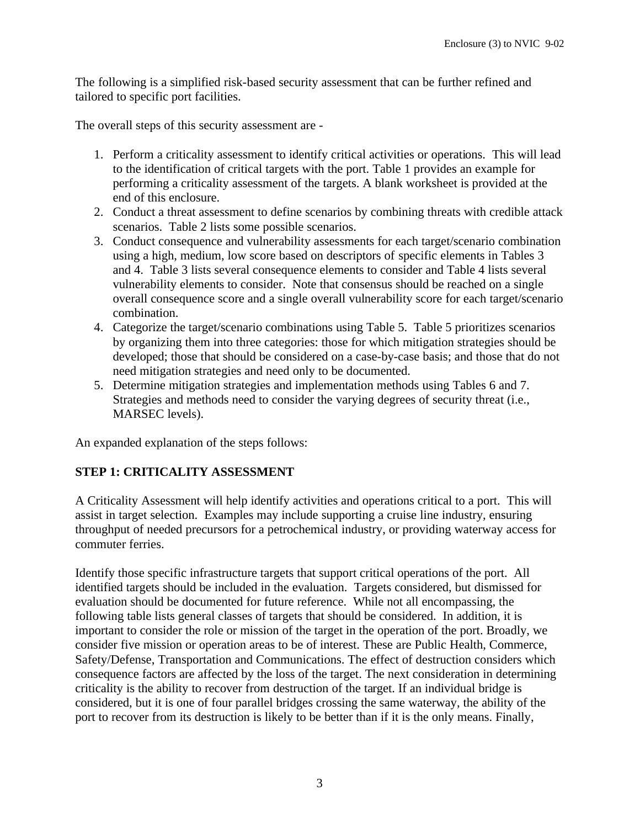The following is a simplified risk-based security assessment that can be further refined and tailored to specific port facilities.

The overall steps of this security assessment are -

- 1. Perform a criticality assessment to identify critical activities or operations. This will lead to the identification of critical targets with the port. Table 1 provides an example for performing a criticality assessment of the targets. A blank worksheet is provided at the end of this enclosure.
- 2. Conduct a threat assessment to define scenarios by combining threats with credible attack scenarios. Table 2 lists some possible scenarios.
- 3. Conduct consequence and vulnerability assessments for each target/scenario combination using a high, medium, low score based on descriptors of specific elements in Tables 3 and 4. Table 3 lists several consequence elements to consider and Table 4 lists several vulnerability elements to consider. Note that consensus should be reached on a single overall consequence score and a single overall vulnerability score for each target/scenario combination.
- 4. Categorize the target/scenario combinations using Table 5. Table 5 prioritizes scenarios by organizing them into three categories: those for which mitigation strategies should be developed; those that should be considered on a case-by-case basis; and those that do not need mitigation strategies and need only to be documented.
- 5. Determine mitigation strategies and implementation methods using Tables 6 and 7. Strategies and methods need to consider the varying degrees of security threat (i.e., MARSEC levels).

An expanded explanation of the steps follows:

# **STEP 1: CRITICALITY ASSESSMENT**

A Criticality Assessment will help identify activities and operations critical to a port. This will assist in target selection. Examples may include supporting a cruise line industry, ensuring throughput of needed precursors for a petrochemical industry, or providing waterway access for commuter ferries.

Identify those specific infrastructure targets that support critical operations of the port. All identified targets should be included in the evaluation. Targets considered, but dismissed for evaluation should be documented for future reference. While not all encompassing, the following table lists general classes of targets that should be considered. In addition, it is important to consider the role or mission of the target in the operation of the port. Broadly, we consider five mission or operation areas to be of interest. These are Public Health, Commerce, Safety/Defense, Transportation and Communications. The effect of destruction considers which consequence factors are affected by the loss of the target. The next consideration in determining criticality is the ability to recover from destruction of the target. If an individual bridge is considered, but it is one of four parallel bridges crossing the same waterway, the ability of the port to recover from its destruction is likely to be better than if it is the only means. Finally,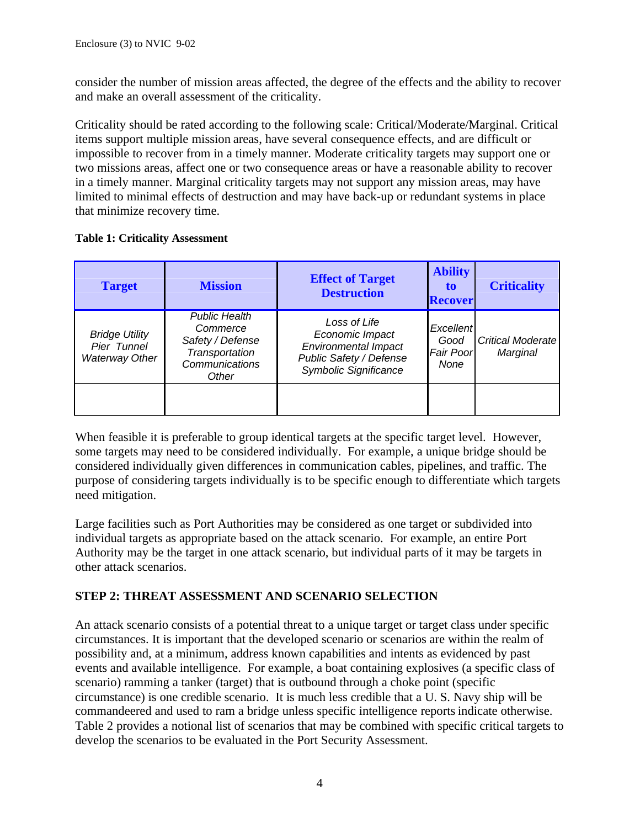consider the number of mission areas affected, the degree of the effects and the ability to recover and make an overall assessment of the criticality.

Criticality should be rated according to the following scale: Critical/Moderate/Marginal. Critical items support multiple mission areas, have several consequence effects, and are difficult or impossible to recover from in a timely manner. Moderate criticality targets may support one or two missions areas, affect one or two consequence areas or have a reasonable ability to recover in a timely manner. Marginal criticality targets may not support any mission areas, may have limited to minimal effects of destruction and may have back-up or redundant systems in place that minimize recovery time.

# **Table 1: Criticality Assessment**

| <b>Target</b>                                                 | <b>Mission</b>                                                                                    | <b>Effect of Target</b><br><b>Destruction</b>                                                                             | <b>Ability</b><br>to:<br><b>Recover</b>       | <b>Criticality</b>                   |
|---------------------------------------------------------------|---------------------------------------------------------------------------------------------------|---------------------------------------------------------------------------------------------------------------------------|-----------------------------------------------|--------------------------------------|
| <b>Bridge Utility</b><br>Pier Tunnel<br><b>Waterway Other</b> | <b>Public Health</b><br>Commerce<br>Safety / Defense<br>Transportation<br>Communications<br>Other | Loss of Life<br>Economic Impact<br><b>Environmental Impact</b><br><b>Public Safety / Defense</b><br>Symbolic Significance | Excellent<br>Good<br><b>Fair Poor</b><br>None | <b>Critical Moderate</b><br>Marginal |
|                                                               |                                                                                                   |                                                                                                                           |                                               |                                      |

When feasible it is preferable to group identical targets at the specific target level. However, some targets may need to be considered individually. For example, a unique bridge should be considered individually given differences in communication cables, pipelines, and traffic. The purpose of considering targets individually is to be specific enough to differentiate which targets need mitigation.

Large facilities such as Port Authorities may be considered as one target or subdivided into individual targets as appropriate based on the attack scenario. For example, an entire Port Authority may be the target in one attack scenario, but individual parts of it may be targets in other attack scenarios.

# **STEP 2: THREAT ASSESSMENT AND SCENARIO SELECTION**

An attack scenario consists of a potential threat to a unique target or target class under specific circumstances. It is important that the developed scenario or scenarios are within the realm of possibility and, at a minimum, address known capabilities and intents as evidenced by past events and available intelligence. For example, a boat containing explosives (a specific class of scenario) ramming a tanker (target) that is outbound through a choke point (specific circumstance) is one credible scenario. It is much less credible that a U. S. Navy ship will be commandeered and used to ram a bridge unless specific intelligence reports indicate otherwise. Table 2 provides a notional list of scenarios that may be combined with specific critical targets to develop the scenarios to be evaluated in the Port Security Assessment.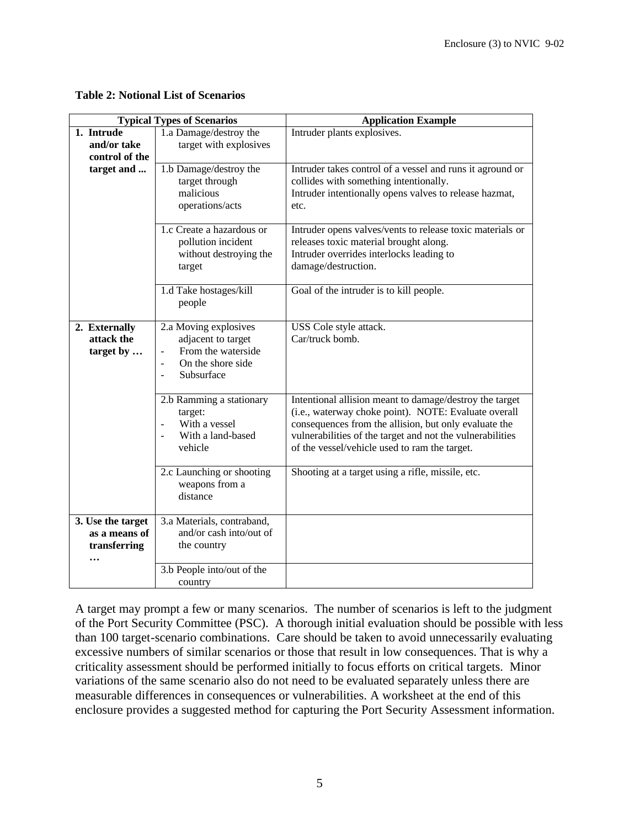#### **Table 2: Notional List of Scenarios**

|                                                    | <b>Typical Types of Scenarios</b>                                                                                                        | <b>Application Example</b>                                                                                                                                                                                                                                                             |
|----------------------------------------------------|------------------------------------------------------------------------------------------------------------------------------------------|----------------------------------------------------------------------------------------------------------------------------------------------------------------------------------------------------------------------------------------------------------------------------------------|
| 1. Intrude                                         | 1.a Damage/destroy the                                                                                                                   | Intruder plants explosives.                                                                                                                                                                                                                                                            |
| and/or take<br>control of the                      | target with explosives                                                                                                                   |                                                                                                                                                                                                                                                                                        |
| target and                                         | 1.b Damage/destroy the<br>target through<br>malicious<br>operations/acts                                                                 | Intruder takes control of a vessel and runs it aground or<br>collides with something intentionally.<br>Intruder intentionally opens valves to release hazmat,<br>etc.                                                                                                                  |
|                                                    | 1.c Create a hazardous or<br>pollution incident<br>without destroying the<br>target                                                      | Intruder opens valves/vents to release toxic materials or<br>releases toxic material brought along.<br>Intruder overrides interlocks leading to<br>damage/destruction.                                                                                                                 |
|                                                    | 1.d Take hostages/kill<br>people                                                                                                         | Goal of the intruder is to kill people.                                                                                                                                                                                                                                                |
| 2. Externally<br>attack the<br>target by           | 2.a Moving explosives<br>adjacent to target<br>From the waterside<br>On the shore side<br>$\blacksquare$<br>Subsurface<br>$\blacksquare$ | USS Cole style attack.<br>Car/truck bomb.                                                                                                                                                                                                                                              |
|                                                    | 2.b Ramming a stationary<br>target:<br>With a vessel<br>With a land-based<br>vehicle                                                     | Intentional allision meant to damage/destroy the target<br>(i.e., waterway choke point). NOTE: Evaluate overall<br>consequences from the allision, but only evaluate the<br>vulnerabilities of the target and not the vulnerabilities<br>of the vessel/vehicle used to ram the target. |
|                                                    | 2.c Launching or shooting<br>weapons from a<br>distance                                                                                  | Shooting at a target using a rifle, missile, etc.                                                                                                                                                                                                                                      |
| 3. Use the target<br>as a means of<br>transferring | 3.a Materials, contraband,<br>and/or cash into/out of<br>the country                                                                     |                                                                                                                                                                                                                                                                                        |
|                                                    | 3.b People into/out of the<br>country                                                                                                    |                                                                                                                                                                                                                                                                                        |

A target may prompt a few or many scenarios. The number of scenarios is left to the judgment of the Port Security Committee (PSC). A thorough initial evaluation should be possible with less than 100 target-scenario combinations. Care should be taken to avoid unnecessarily evaluating excessive numbers of similar scenarios or those that result in low consequences. That is why a criticality assessment should be performed initially to focus efforts on critical targets. Minor variations of the same scenario also do not need to be evaluated separately unless there are measurable differences in consequences or vulnerabilities. A worksheet at the end of this enclosure provides a suggested method for capturing the Port Security Assessment information.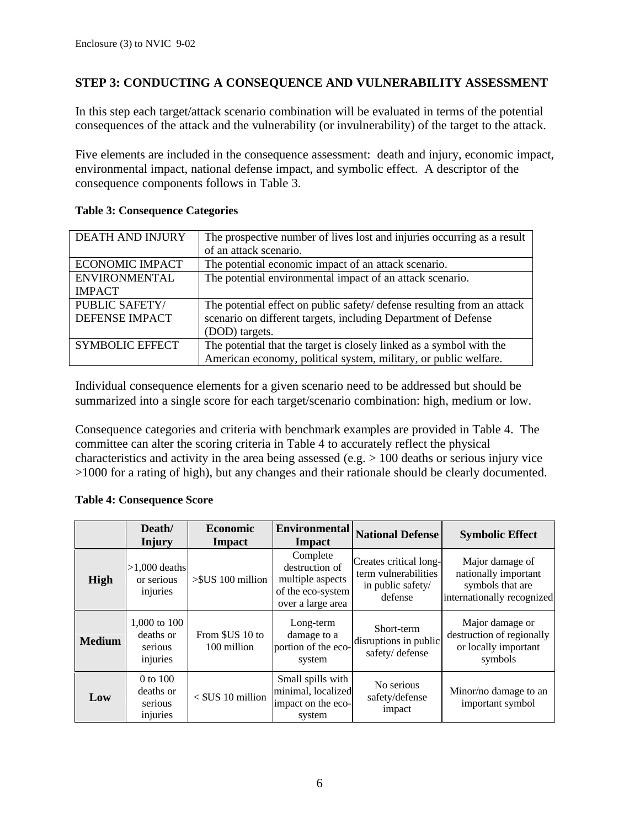# **STEP 3: CONDUCTING A CONSEQUENCE AND VULNERABILITY ASSESSMENT**

In this step each target/attack scenario combination will be evaluated in terms of the potential consequences of the attack and the vulnerability (or invulnerability) of the target to the attack.

Five elements are included in the consequence assessment: death and injury, economic impact, environmental impact, national defense impact, and symbolic effect. A descriptor of the consequence components follows in Table 3.

#### **Table 3: Consequence Categories**

| <b>DEATH AND INJURY</b> | The prospective number of lives lost and injuries occurring as a result |
|-------------------------|-------------------------------------------------------------------------|
|                         | of an attack scenario.                                                  |
| <b>ECONOMIC IMPACT</b>  | The potential economic impact of an attack scenario.                    |
| <b>ENVIRONMENTAL</b>    | The potential environmental impact of an attack scenario.               |
| <b>IMPACT</b>           |                                                                         |
| <b>PUBLIC SAFETY/</b>   | The potential effect on public safety/ defense resulting from an attack |
| <b>DEFENSE IMPACT</b>   | scenario on different targets, including Department of Defense          |
|                         | (DOD) targets.                                                          |
| <b>SYMBOLIC EFFECT</b>  | The potential that the target is closely linked as a symbol with the    |
|                         | American economy, political system, military, or public welfare.        |

Individual consequence elements for a given scenario need to be addressed but should be summarized into a single score for each target/scenario combination: high, medium or low.

Consequence categories and criteria with benchmark examples are provided in Table 4. The committee can alter the scoring criteria in Table 4 to accurately reflect the physical characteristics and activity in the area being assessed (e.g.  $> 100$  deaths or serious injury vice >1000 for a rating of high), but any changes and their rationale should be clearly documented.

#### **Table 4: Consequence Score**

|               | Death/<br>Injury                                 | <b>Economic</b><br>Impact      | <b>Environmental</b><br>Impact                                                           | <b>National Defense</b>                                                        | <b>Symbolic Effect</b>                                                                    |
|---------------|--------------------------------------------------|--------------------------------|------------------------------------------------------------------------------------------|--------------------------------------------------------------------------------|-------------------------------------------------------------------------------------------|
| High          | $>1,000$ deaths<br>or serious<br>injuries        | $>\$US$ 100 million            | Complete<br>destruction of<br>multiple aspects<br>of the eco-system<br>over a large area | Creates critical long-<br>term vulnerabilities<br>in public safety/<br>defense | Major damage of<br>nationally important<br>symbols that are<br>internationally recognized |
| <b>Medium</b> | 1,000 to 100<br>deaths or<br>serious<br>injuries | From \$US 10 to<br>100 million | Long-term<br>damage to a<br>portion of the eco-<br>system                                | Short-term<br>disruptions in public<br>safety/defense                          | Major damage or<br>destruction of regionally<br>or locally important<br>symbols           |
| Low           | 0 to 100<br>deaths or<br>serious<br>injuries     | $<$ \$US 10 million            | Small spills with<br>minimal, localized<br>impact on the eco-<br>system                  | No serious<br>safety/defense<br>impact                                         | Minor/no damage to an<br>important symbol                                                 |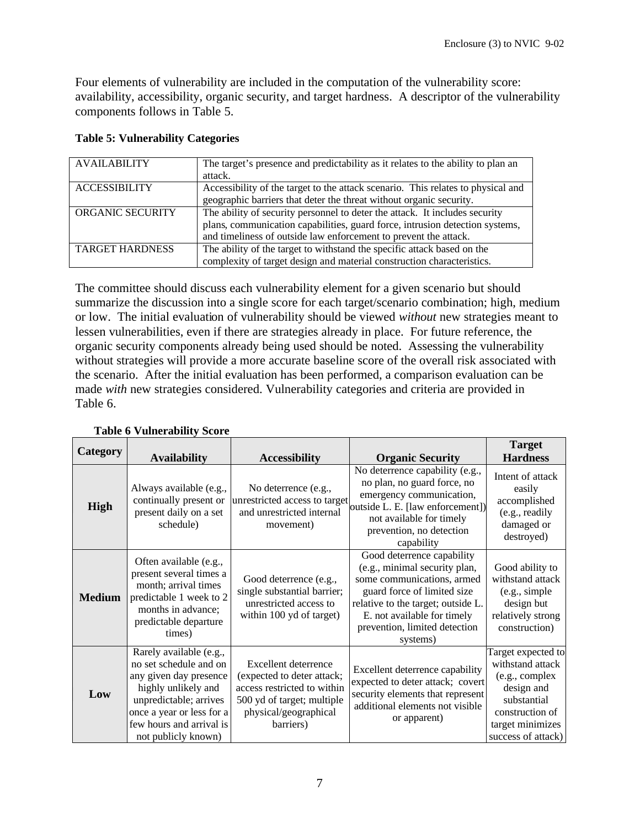Four elements of vulnerability are included in the computation of the vulnerability score: availability, accessibility, organic security, and target hardness. A descriptor of the vulnerability components follows in Table 5.

#### **Table 5: Vulnerability Categories**

| <b>AVAILABILITY</b>    | The target's presence and predictability as it relates to the ability to plan an<br>attack.                                                                                                                                     |
|------------------------|---------------------------------------------------------------------------------------------------------------------------------------------------------------------------------------------------------------------------------|
| <b>ACCESSIBILITY</b>   | Accessibility of the target to the attack scenario. This relates to physical and<br>geographic barriers that deter the threat without organic security.                                                                         |
| ORGANIC SECURITY       | The ability of security personnel to deter the attack. It includes security<br>plans, communication capabilities, guard force, intrusion detection systems,<br>and timeliness of outside law enforcement to prevent the attack. |
| <b>TARGET HARDNESS</b> | The ability of the target to withstand the specific attack based on the<br>complexity of target design and material construction characteristics.                                                                               |

The committee should discuss each vulnerability element for a given scenario but should summarize the discussion into a single score for each target/scenario combination; high, medium or low. The initial evaluation of vulnerability should be viewed *without* new strategies meant to lessen vulnerabilities, even if there are strategies already in place. For future reference, the organic security components already being used should be noted. Assessing the vulnerability without strategies will provide a more accurate baseline score of the overall risk associated with the scenario. After the initial evaluation has been performed, a comparison evaluation can be made *with* new strategies considered. Vulnerability categories and criteria are provided in Table 6.

| Category      |                                                                                                                                                                                                              |                                                                                                                                                       |                                                                                                                                                                                                                                            | <b>Target</b>                                                                                                                                      |
|---------------|--------------------------------------------------------------------------------------------------------------------------------------------------------------------------------------------------------------|-------------------------------------------------------------------------------------------------------------------------------------------------------|--------------------------------------------------------------------------------------------------------------------------------------------------------------------------------------------------------------------------------------------|----------------------------------------------------------------------------------------------------------------------------------------------------|
|               | <b>Availability</b>                                                                                                                                                                                          | <b>Accessibility</b>                                                                                                                                  | <b>Organic Security</b>                                                                                                                                                                                                                    | <b>Hardness</b>                                                                                                                                    |
| High          | Always available (e.g.,<br>continually present or<br>present daily on a set<br>schedule)                                                                                                                     | No deterrence (e.g.,<br>unrestricted access to target<br>and unrestricted internal<br>movement)                                                       | No deterrence capability (e.g.,<br>no plan, no guard force, no<br>emergency communication,<br>outside L. E. [law enforcement])<br>not available for timely<br>prevention, no detection<br>capability                                       | Intent of attack<br>easily<br>accomplished<br>(e.g., readily<br>damaged or<br>destroyed)                                                           |
| <b>Medium</b> | Often available (e.g.,<br>present several times a<br>month; arrival times<br>predictable 1 week to 2<br>months in advance;<br>predictable departure<br>times)                                                | Good deterrence (e.g.,<br>single substantial barrier;<br>unrestricted access to<br>within 100 yd of target)                                           | Good deterrence capability<br>(e.g., minimal security plan,<br>some communications, armed<br>guard force of limited size<br>relative to the target; outside L.<br>E. not available for timely<br>prevention, limited detection<br>systems) | Good ability to<br>withstand attack<br>(e.g., simple)<br>design but<br>relatively strong<br>construction)                                          |
| Low           | Rarely available (e.g.,<br>no set schedule and on<br>any given day presence<br>highly unlikely and<br>unpredictable; arrives<br>once a year or less for a<br>few hours and arrival is<br>not publicly known) | Excellent deterrence<br>(expected to deter attack;<br>access restricted to within<br>500 yd of target; multiple<br>physical/geographical<br>barriers) | Excellent deterrence capability<br>expected to deter attack; covert<br>security elements that represent<br>additional elements not visible<br>or apparent)                                                                                 | Target expected to<br>withstand attack<br>(e.g., complex<br>design and<br>substantial<br>construction of<br>target minimizes<br>success of attack) |

#### **Table 6 Vulnerability Score**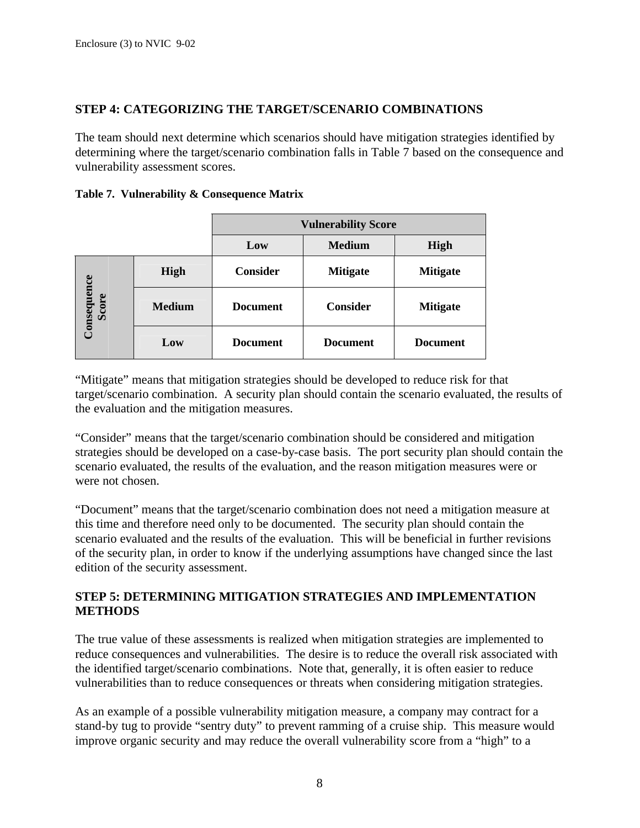# **STEP 4: CATEGORIZING THE TARGET/SCENARIO COMBINATIONS**

The team should next determine which scenarios should have mitigation strategies identified by determining where the target/scenario combination falls in Table 7 based on the consequence and vulnerability assessment scores.

#### **Table 7. Vulnerability & Consequence Matrix**

|                             |               | <b>Vulnerability Score</b> |                 |                 |  |  |
|-----------------------------|---------------|----------------------------|-----------------|-----------------|--|--|
|                             |               | Low                        | <b>Medium</b>   | <b>High</b>     |  |  |
|                             | High          | Consider                   | <b>Mitigate</b> | <b>Mitigate</b> |  |  |
| $\rm Consequently$<br>Score | <b>Medium</b> | <b>Document</b>            | Consider        | <b>Mitigate</b> |  |  |
|                             | Low           | <b>Document</b>            | <b>Document</b> | <b>Document</b> |  |  |

"Mitigate" means that mitigation strategies should be developed to reduce risk for that target/scenario combination. A security plan should contain the scenario evaluated, the results of the evaluation and the mitigation measures.

"Consider" means that the target/scenario combination should be considered and mitigation strategies should be developed on a case-by-case basis. The port security plan should contain the scenario evaluated, the results of the evaluation, and the reason mitigation measures were or were not chosen.

"Document" means that the target/scenario combination does not need a mitigation measure at this time and therefore need only to be documented. The security plan should contain the scenario evaluated and the results of the evaluation. This will be beneficial in further revisions of the security plan, in order to know if the underlying assumptions have changed since the last edition of the security assessment.

# **STEP 5: DETERMINING MITIGATION STRATEGIES AND IMPLEMENTATION METHODS**

The true value of these assessments is realized when mitigation strategies are implemented to reduce consequences and vulnerabilities. The desire is to reduce the overall risk associated with the identified target/scenario combinations. Note that, generally, it is often easier to reduce vulnerabilities than to reduce consequences or threats when considering mitigation strategies.

As an example of a possible vulnerability mitigation measure, a company may contract for a stand-by tug to provide "sentry duty" to prevent ramming of a cruise ship. This measure would improve organic security and may reduce the overall vulnerability score from a "high" to a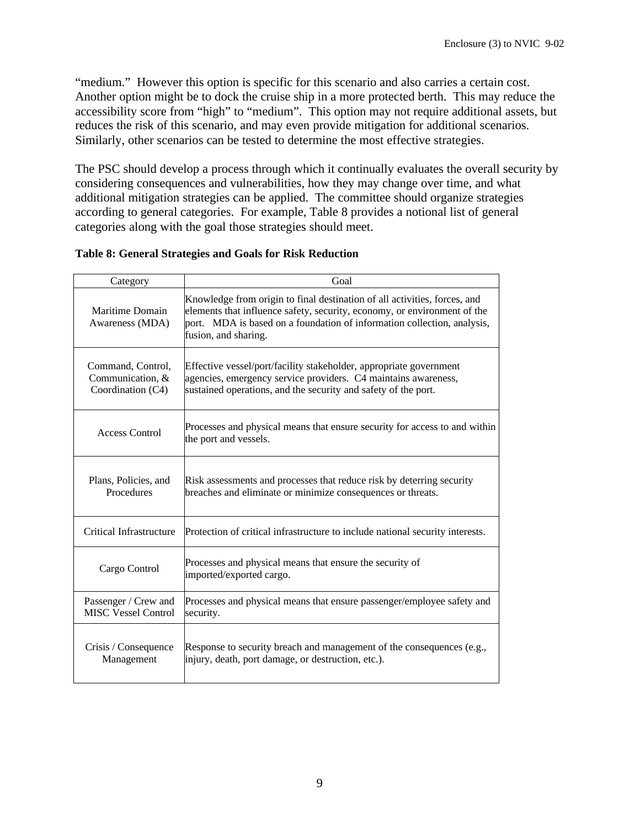"medium." However this option is specific for this scenario and also carries a certain cost. Another option might be to dock the cruise ship in a more protected berth. This may reduce the accessibility score from "high" to "medium". This option may not require additional assets, but reduces the risk of this scenario, and may even provide mitigation for additional scenarios. Similarly, other scenarios can be tested to determine the most effective strategies.

The PSC should develop a process through which it continually evaluates the overall security by considering consequences and vulnerabilities, how they may change over time, and what additional mitigation strategies can be applied. The committee should organize strategies according to general categories. For example, Table 8 provides a notional list of general categories along with the goal those strategies should meet.

| Category                                                   | Goal                                                                                                                                                                                                                                                     |
|------------------------------------------------------------|----------------------------------------------------------------------------------------------------------------------------------------------------------------------------------------------------------------------------------------------------------|
| Maritime Domain<br>Awareness (MDA)                         | Knowledge from origin to final destination of all activities, forces, and<br>elements that influence safety, security, economy, or environment of the<br>port. MDA is based on a foundation of information collection, analysis,<br>fusion, and sharing. |
| Command, Control,<br>Communication, &<br>Coordination (C4) | Effective vessel/port/facility stakeholder, appropriate government<br>agencies, emergency service providers. C4 maintains awareness,<br>sustained operations, and the security and safety of the port.                                                   |
| <b>Access Control</b>                                      | Processes and physical means that ensure security for access to and within<br>the port and vessels.                                                                                                                                                      |
| Plans, Policies, and<br>Procedures                         | Risk assessments and processes that reduce risk by deterring security<br>breaches and eliminate or minimize consequences or threats.                                                                                                                     |
| Critical Infrastructure                                    | Protection of critical infrastructure to include national security interests.                                                                                                                                                                            |
| Cargo Control                                              | Processes and physical means that ensure the security of<br>imported/exported cargo.                                                                                                                                                                     |
| Passenger / Crew and<br><b>MISC Vessel Control</b>         | Processes and physical means that ensure passenger/employee safety and<br>security.                                                                                                                                                                      |
| Crisis / Consequence<br>Management                         | Response to security breach and management of the consequences (e.g.,<br>injury, death, port damage, or destruction, etc.).                                                                                                                              |

#### **Table 8: General Strategies and Goals for Risk Reduction**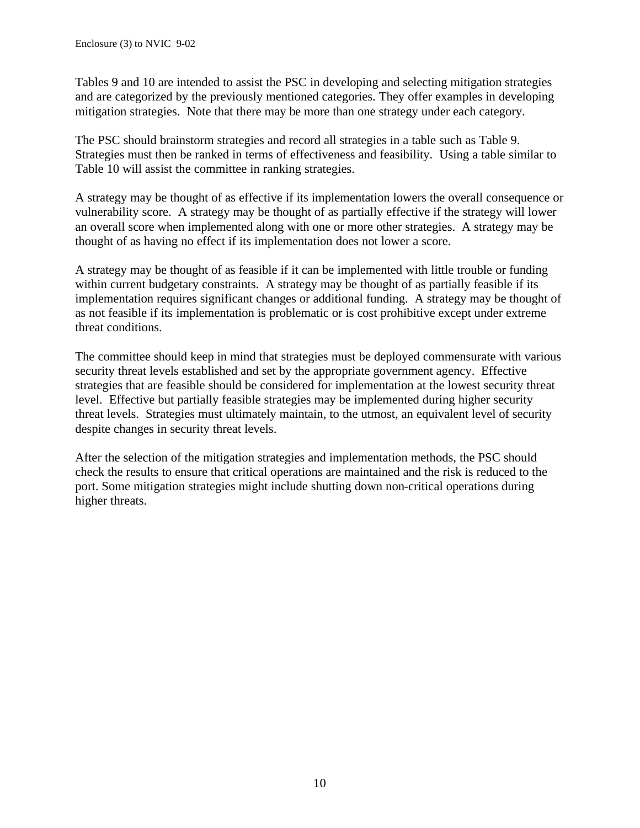Tables 9 and 10 are intended to assist the PSC in developing and selecting mitigation strategies and are categorized by the previously mentioned categories. They offer examples in developing mitigation strategies. Note that there may be more than one strategy under each category.

The PSC should brainstorm strategies and record all strategies in a table such as Table 9. Strategies must then be ranked in terms of effectiveness and feasibility. Using a table similar to Table 10 will assist the committee in ranking strategies.

A strategy may be thought of as effective if its implementation lowers the overall consequence or vulnerability score. A strategy may be thought of as partially effective if the strategy will lower an overall score when implemented along with one or more other strategies. A strategy may be thought of as having no effect if its implementation does not lower a score.

A strategy may be thought of as feasible if it can be implemented with little trouble or funding within current budgetary constraints. A strategy may be thought of as partially feasible if its implementation requires significant changes or additional funding. A strategy may be thought of as not feasible if its implementation is problematic or is cost prohibitive except under extreme threat conditions.

The committee should keep in mind that strategies must be deployed commensurate with various security threat levels established and set by the appropriate government agency. Effective strategies that are feasible should be considered for implementation at the lowest security threat level. Effective but partially feasible strategies may be implemented during higher security threat levels. Strategies must ultimately maintain, to the utmost, an equivalent level of security despite changes in security threat levels.

After the selection of the mitigation strategies and implementation methods, the PSC should check the results to ensure that critical operations are maintained and the risk is reduced to the port. Some mitigation strategies might include shutting down non-critical operations during higher threats.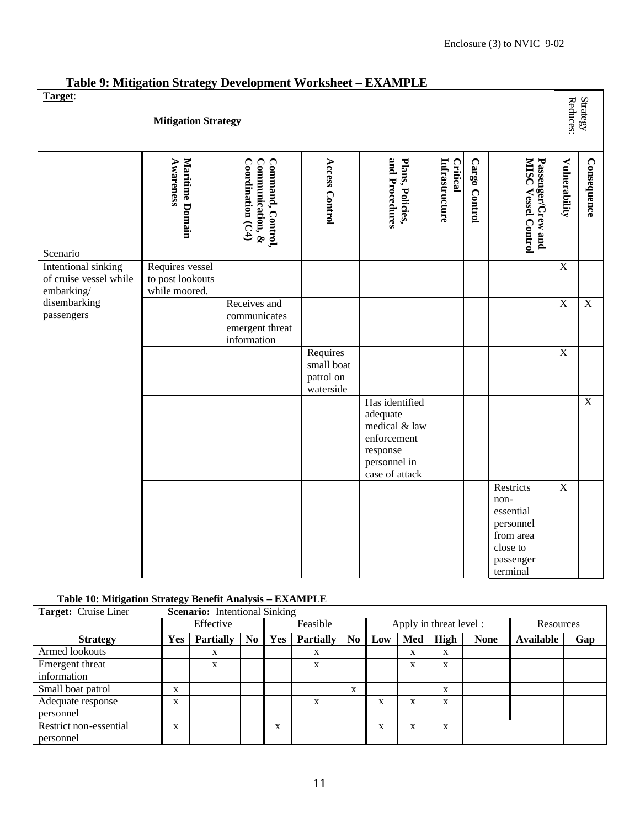| Target:                                                     | <b>Mitigation Strategy</b>                           |                                                                |                                                  |                                                                                                          |                            |               |                                                                                               |                           |                |
|-------------------------------------------------------------|------------------------------------------------------|----------------------------------------------------------------|--------------------------------------------------|----------------------------------------------------------------------------------------------------------|----------------------------|---------------|-----------------------------------------------------------------------------------------------|---------------------------|----------------|
| Scenario                                                    | <b>Maritime Domain</b><br>Awareness                  | Coordination (C4)<br>Communication, &<br>Command, Control,     | <b>Access Control</b>                            | and Procedures<br>Plans, Policies,                                                                       | Infrastructure<br>Critical | Cargo Control | Passenger/Crew and<br>MISC Vessel Control                                                     | Vulnerability             | Consequence    |
| Intentional sinking<br>of cruise vessel while<br>embarking/ | Requires vessel<br>to post lookouts<br>while moored. |                                                                |                                                  |                                                                                                          |                            |               |                                                                                               | $\overline{X}$            |                |
| disembarking<br>passengers                                  |                                                      | Receives and<br>communicates<br>emergent threat<br>information |                                                  |                                                                                                          |                            |               |                                                                                               | $\overline{X}$            | $\overline{X}$ |
|                                                             |                                                      |                                                                | Requires<br>small boat<br>patrol on<br>waterside |                                                                                                          |                            |               |                                                                                               | $\boldsymbol{\mathrm{X}}$ |                |
|                                                             |                                                      |                                                                |                                                  | Has identified<br>adequate<br>medical & law<br>enforcement<br>response<br>personnel in<br>case of attack |                            |               |                                                                                               |                           | $\mathbf X$    |
|                                                             |                                                      |                                                                |                                                  |                                                                                                          |                            |               | Restricts<br>non-<br>essential<br>personnel<br>from area<br>close to<br>passenger<br>terminal | $\overline{X}$            |                |

# **Table 9: Mitigation Strategy Development Worksheet – EXAMPLE**

# **Table 10: Mitigation Strategy Benefit Analysis – EXAMPLE**

| <b>Scenario:</b> Intentional Sinking<br>Target: Cruise Liner |            |                  |     |          |                  |                |                         |   |          |             |           |     |
|--------------------------------------------------------------|------------|------------------|-----|----------|------------------|----------------|-------------------------|---|----------|-------------|-----------|-----|
|                                                              | Effective  |                  |     | Feasible |                  |                | Apply in threat level : |   |          |             | Resources |     |
| <b>Strategy</b>                                              | <b>Yes</b> | <b>Partially</b> | No. | Yes      | <b>Partially</b> | N <sub>0</sub> | Low                     |   | Med High | <b>None</b> | Available | Gap |
| Armed lookouts                                               |            | X                |     |          | X                |                |                         | X | X        |             |           |     |
| Emergent threat                                              |            | X                |     |          | X                |                |                         | X | X        |             |           |     |
| information                                                  |            |                  |     |          |                  |                |                         |   |          |             |           |     |
| Small boat patrol                                            | X          |                  |     |          |                  | X              |                         |   | X        |             |           |     |
| Adequate response                                            | X          |                  |     |          | X                |                | X                       | X | X        |             |           |     |
| personnel                                                    |            |                  |     |          |                  |                |                         |   |          |             |           |     |
| Restrict non-essential                                       | X          |                  |     | X        |                  |                | X                       | X | X        |             |           |     |
| personnel                                                    |            |                  |     |          |                  |                |                         |   |          |             |           |     |